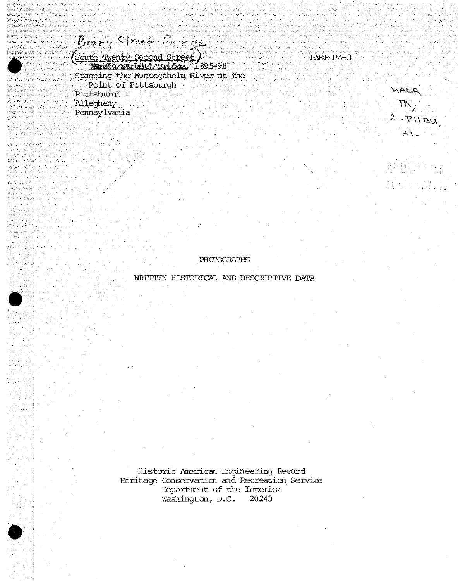Brady Street Cridge

 $\bullet$ 

*:*

*C*

r

•:"• *'-: 'i t*

**•**

: i tarfilis 198

*:* ";-':

"M^"^'''-" '' -"- &teL\_^entv-SecOnd Street-) : .. - HAER PA-3 i;: " ^-feB^b^^teV^iag^,- 1895-96 ".: Spanning the Monongahela River at the Point of Pittsburgh *-.%y:-;.* Point of Pittsburgh \_ *M-:]'* point of Pittsburgh Pittsburgh views of the control of the control of the control of the control of the control of the control of the control of the control of the control of the control of the control of the control of th with a strip  $\lambda$  legheny . for the left in the large state of the strip from the state  $\mathcal{P}^{\mathbf{N}}$ *-- ' ';* Pennsylvania .

""-'."/\ . '

 $P_{A}$ <br>2-PITBU

 $3\sqrt{-}$ 

**PHOTOGRAPHS** 

WRITTEN HISTORICAL AND DESCRIPTIVE DATA

Historic Anerican Engineering Record Heritage Conservation and Recreation Service Department of the Interior<br>Washington, D.C. 20243 Washington, D.C.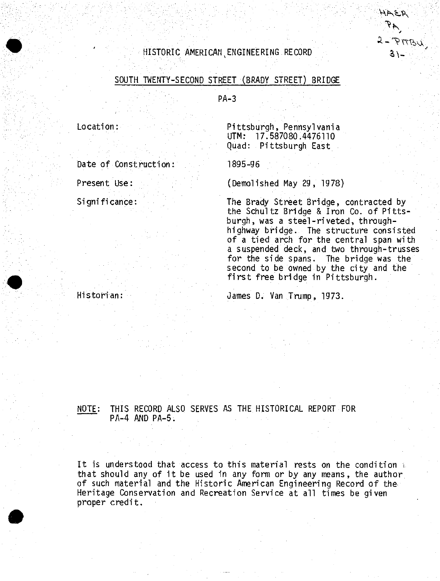# $HISTORIC$  AMERICAN. ENGINEERING RECORD S\\_

# SOUTH TWENTY-SECOND STREET (BRADY STREET) BRIDGE

PA-3

Location:

Date of Construction

Present Use: Significance:

Historian:

Pittsburgh, Pennsylvania UTM: 17.587080.4476110 Quad: Pittsburgh East

1895-96

(Demolished May 29, 1978)

The Brady Street Bridge, contracted by the Schultz Bridge & Iron Co. of Pittsburgh, was <sup>a</sup> steel-riveted, throughhighway bridge. The structure consisted of <sup>a</sup> tied arch for the central span with <sup>a</sup> suspended deck, and two through-trusses for the side spans. The bridge was the second to be owned by the city and the first free bridge in Pittsburgh.

HAEA

 $2 - Prrsu$ 

James D. Van Trump, 1973.

NOTE: THIS RECORD ALSO SERVES AS THE HISTORICAL REPORT FOR PA-4 AND PA-5.

It is understood that access to this material rests on the condition *\* that should any of it be used in any form or by any means, the author of such material and the Historic American Engineering Record of the Heritage Conservation and Recreation Service at all times be given proper credit.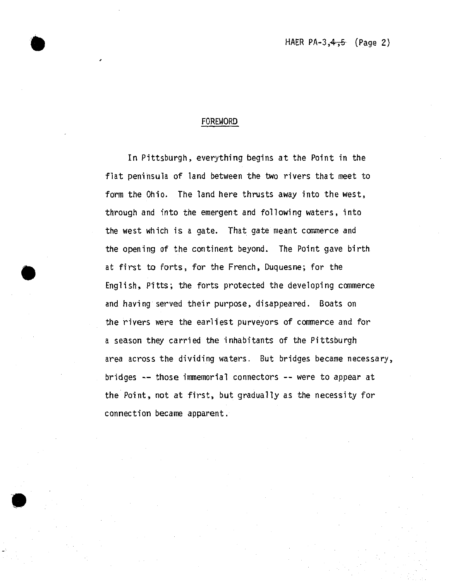## FOREWORD

**•**

In Pittsburgh, everything begins at the Point in the flat peninsula of land between the two rivers that meet to form the Ohio. The land here thrusts away into the west, through and into the emergent and following waters, into the west which is a gate. That gate meant commerce and the opening of the continent beyond. The Point gave birth at first ta forts, for the French, Duquesne; for the English, Pitts; the forts protected the developing commerce and having served their purpose, disappeared. Boats on the rivers were the earliest purveyors of commerce and for a season they carried the inhabitants of the Pittsburgh area across the dividing waters. But bridges became necessary, bridges — those immemorial connectors — were to appear at the Point, not at first, but gradually as the necessity for connection became apparent.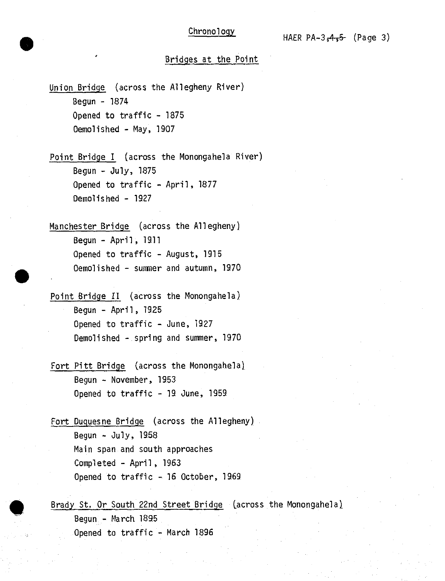# Bridges at the Point

Union Bridge (across the Allegheny River) Begun - 1874 Opened to traffic - 1875 Demolished - May, 1907

Point Bridge I (across the Monongahela River) Begun - July, 1875 Opened to traffic - April, 1877 Demolished - 1927

Manchester Bridge (across the Allegheny) Begun - April, 1911 Opened to traffic - August, 1915 Demolished - sunnier and autumn, 1970

Point Bridge II (across the Monongahela) Begun - April, 1925 Opened to traffic - June, 1927 Demolished - spring and summer, 1970

Fort Pitt Bridge (across the Monongahela) Begun - November, 1953 Opened to traffic - 19 June, 1959

Fort Duquesne Bridge (across the Allegheny) Begun - July, 1958 Main span and south approaches Completed - April, 1963 Opened to traffic - 16 October, 1969

Brady St. Or South 22nd Street Bridge (across the Monongahela) Begun - March. 1895 Opened to traffic - March 1896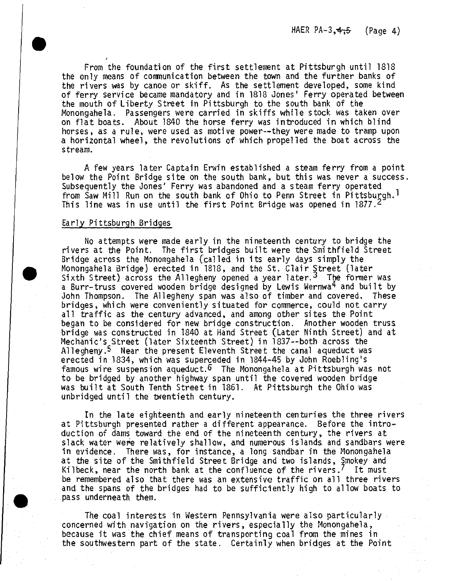From the foundation of the first settlement at Pittsburgh until <sup>1818</sup> the only means of communication between the town and the further banks of the rivers was by canoe or skiff. As the settlement developed, some kind of ferry service became mandatory and in 1818 Jones' Ferry operated between the mouth of Liberty Street in Pittsburgh to the south bank of the Monongahela. Passengers were carried in skiffs while stock was taken over on flat boats. About <sup>1840</sup> the horse ferry was introduced in which blind horses, as <sup>a</sup> rule, were used as motive power—they were made to tramp upon a horizontal wheel, the revolutions of which propelled the boat across the stream,

<sup>A</sup> few years later Captain Erwin established <sup>a</sup> steam ferry from <sup>a</sup> point below the Point Bridge site on the south bank, but this was never <sup>a</sup> success, Subsequently the Jones' Ferry was abandoned and a steam ferry operated from Saw Mill Run on the south bank of Ohio to Penn Street in Pittsburgh.' This line was in use until the first Point Bridge was opened in 1877.<sup>2</sup>

#### Early Pittsburgh Bridges

No attempts were made early in the nineteenth century to bridge the rivers at the Point. The first bridges built were the Smithfield Street Bridge across the Monongahela (called in its early days simply the Monongahela Bridge) erected in 1818, and the St. Clair Street (later Sixth Street) across the Allegheny opened a year later.<sup>3</sup> The former was a Burr-truss covered wooden bridge designed by Lewis Wernwa<sup>4</sup> and built by John Thompson. The Allegheny span was also of timber and covered, These bridges, which were conveniently situated for commerce, could not carry all traffic as the century advanced, and among other sites the Point began to be considered for new bridge construction. Another wooden truss bridge was constructed in <sup>1840</sup> at Hand Street (later Ninth Street) and at Mechanic's Street (later Sixteenth Street) in 1837--both across the Allegheny.<sup>5</sup> Near the present Eleventh Street the canal aqueduct was erected in 1834, which was superceded in 1844-45 by John Roebling's famous wire suspension aqueduct.<sup>5</sup> The Monongahela at Pittsburgh was not to be bridged by another highway span until the covered wooden bridge was built at South Tenth Street in 1861. At Pittsburgh the Ohio was unbridged until the twentieth century.

In the late eighteenth and early nineteenth centuries the three rivers at Pittsburgh presented rather <sup>a</sup> different appearance. Before the intro~ duction of dams toward the end of the nineteenth century, the rivers at slack water were relatively shallow, and numerous islands, and sandbars were in evidence. There was, for instance, <sup>a</sup> long sandbar in the Monongahela at the site of the Smithfield Street Bridge and two islands, Smokey and Kilbeck, near the north bank at the confluence of the rivers.<sup>7</sup> It must be remembered also that there was an extensive traffic on all three rivers and the spans of the bridges had to be sufficiently high to allow boats to pass underneath them.

The coal interests in Western Pennsylvania were also particularly concerned with navigation on the rivers, especially the Monongahela, because it was the chief means of transporting coal from the mines in the southwestern part of the state. Certainly when bridges at the Point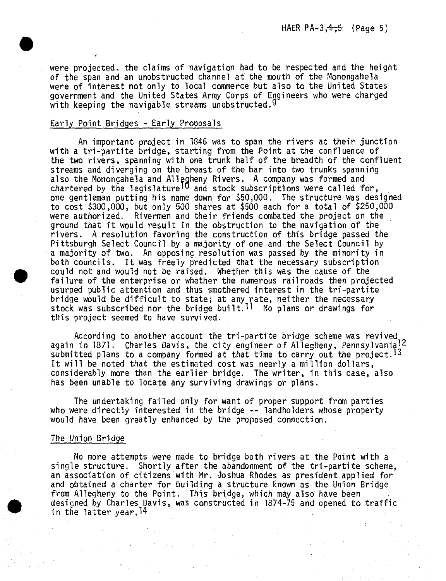were projected, the claims of navigation had to be respected and the height of the span and an unobstructed channel at the mouth of the Monongahela were of interest not only to local commerce but also to the United States government and the United States Army Corps of Engineers who were charged with keeping the navigable streams unobstructed.  $9$ 

## Early Point Bridges - Early Proposals

An important project in 1046 was to span the rivers at their junction with a tri-partite bridge, starting from the Point at the confluence of the two rivers, spanning with one trunk half of the breadth of the confluent streams and diverging on the breast of the bar into two trunks spanning also the Monongahela and Allegheny Rivers. A company was formed and chartered by the legislature<sup>10</sup> and stock subscriptions were called for, one gentleman putting his name down for \$50,000. The structure was designed to cost \$300,000, but only 500 shares at \$500 each for a total of \$250,000 were authorized. Rivermen and their friends combated the project on the ground that it would result in the obstruction to the navigation of the rivers. A resolution favoring the construction of this bridge passed the Pittsburgh Select Council by a majority of one and the Select Council by a majority of two. An opposing resolution was passed by the minority in both councils. It was freely predicted that the necessary subscription could not and would not be raised. Whether this was the cause of the failure of the enterprise or whether the numerous railroads then projected usurped public attention and thus smothered interest in the tri-partite bridge would be difficult to state; at any rate, neither the necessary stock was subscribed nor the bridge built.<sup> $11$ </sup> No plans or drawings for this project seemed to have survived.

According to another account the tri-partite bridge scheme was revived again in 1871. Charles Davis, the city engineer of Allegheny, Pennsylvania<sup>12</sup> submitted plans to a company formed at that time to carry out the project.<sup>13</sup> It will be noted that the estimated cost was nearly a million dollars, considerably more than the earlier bridge. The writer, in this case, also has been unable to locate any surviving drawings or plans.

The undertaking failed only for want of proper support from parties who were directly interested in the bridge  $\rightarrow$  landholders whose property would have been greatly enhanced by the proposed connection.

#### The Union Bridge

No more attempts were made to bridge both rivers at the Point with a single structure. Shortly after the abandonment of the tri-partite scheme, an association of citizens with Mr. Joshua Rhodes as president applied for and obtained a charter for building a structure known as the Union Bridge from Allegheny to the Point. This bridge, which may also have been designed by Charles Davis, was constructed in 1874-75 and opened to traffic in the latter year.14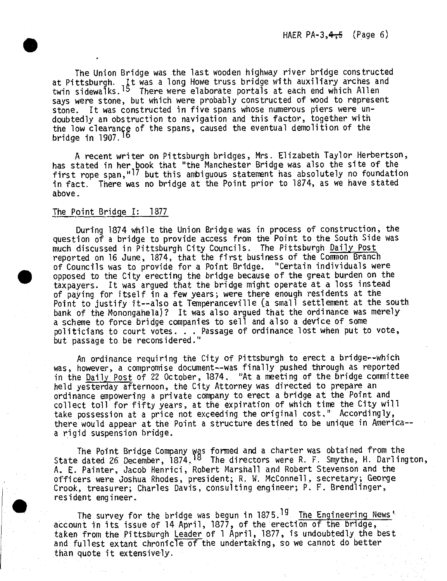HAER PA-3, $4,5$  (Page 6)

The Union Bridge was the last wooden highway river bridge constructed at Pittsburgh. It was a long Howe truss bridge with auxiliary arches and twin sidewalks.'<sup>5</sup> There were elaborate portals at each end which Allen says were stone, but which were probably constructed of wood to represent stone. It was constructed in five spans whose numerous piers were undoubtedly an obstruction to navigation *and* this factor, together with the low clearance of the spans, caused the eventual demolition of the bridge *in* 1907.<sup>16</sup>

A recent writer on Pittsburgh bridges, Mrs. Elizabeth Taylor Herbertson, has stated in her book that "the Manchester Bridge was also the site of the<br>first rope span,"<sup>17</sup> but this ambiguous statement has absolutely no foundation in fact. There was no bridge at the Point prior to 1874, as we have stated above.

### The Point Bridge I: 1877

During 1874 while the Union Bridge was in process of construction, the question of a bridge to provide access from the Point to the South Side was much discussed in Pittsburgh City Councils. The Pittsburgh Daily Post reported on 16 June, 1874, that the first business of the Common Branch of Councils was to provide for a Point Bridge. "Certain individuals were opposed to the City erecting the bridge because of the great burden on the taxpayers. It was argued that the bridge might operate at a loss instead of paying for itself in a few years; were there enough residents at the Point to justify it--also at Temperanceville (a small settlement at the south bank of the Monongahela]? It was also argued that the ordinance was merely a scheme to force bridge companies to sell and also a device of some politicians to court votes. . . Passage of ordinance lost when put to vote, but passage to be reconsidered."

An ordinance requiring the City of Pittsburgh to erect a hridge--which was, however, a compromise document—was finally pushed through as reported in the Daily Post of 22 October, 1874. "At a meeting of the bridge committee held yesterday afternoon, the City Attorney was directed to prepare an ordinance empowering <sup>a</sup> private company to erect a bridge at the Point and collect toll for fifty years, at the expiration of which time the City will take possession at a price not exceeding the original cost," Accordingly, there would appear at the Point a structure destined to be unique in America-a rigid suspension bridge.

The Point Bridge Company was formed and a charter was obtained from the<br>State dated 26 December, 1874.<sup>18</sup> The directors were R. F. Smythe, H. Darlington, A. E. Painter, Jacob Henrici, Robert Marshall and Robert Stevenson and the officers were Joshua Rhodes, president; R. W. McConnell, secretary; George Crook, treasurer; Charles Davis, consulting engineer; P. F. Brendlinger, resident engineer.

The survey for the bridge was begun in 1875.<sup>19</sup> The Engineering News<sup>1</sup> account in its issue of 14 April, 1877, of the erection of the bridge, taken from the Pittsburgh Leader of <sup>1</sup> April, 1877, is undoubtedly the best and fullest extant chronicle of the undertaking, so we cannot do better than quote it extensively.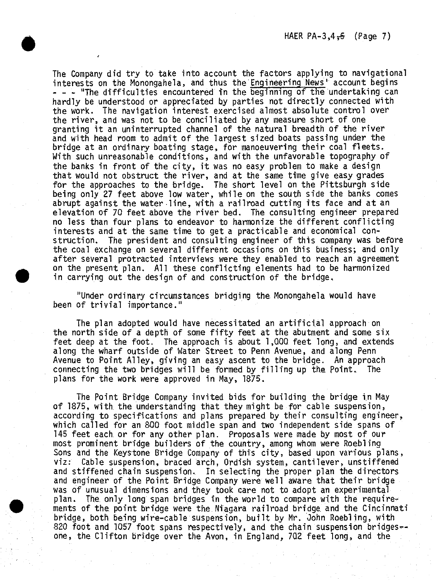The Company did try to take into account the factors applying to navigational interests on the Monongahela, and thus the Engineering News' account begins - — "The difficulties encountered in the beginning of the undertaking can hardly be understood or appreciated by parties not directly connected with the work. The navigation interest exercised almost absolute control over the river, and was not to be conciliated by any measure short of one granting it an uninterrupted channel of the natural breadth of the river and with head room to admit of the largest sized boats passing under the bridge at an ordinary boating stage, for manoeuvering their coal fleets. With such unreasonable conditions, and with the unfavorable topography of the banks in front of the city, it was no easy problem to make a design that would not obstruct *the* river, and at the same time give easy grades for the approaches to the bridge. The short level on the Pittsburgh side being only 27 feet above low water, while on the south side the banks comes abrupt against the water line, with a railroad cutting its face and at an elevation of 70 feet above the river bed. The consulting engineer prepared no less than four plans to endeavor to harmonize the different conflicting interests and at the same time to get a practicable and economical construction. The president and consulting engineer of this company was before the coal exchange on several different occasions on this business; and only after several protracted interviews were they enabled to reach an agreement on the present plan. All these conflicting elements had to be harmonized in carrying out the design of and construction of the bridge,

**•**

"Under ordinary circumstances bridging the. Monongahela would have been of trivial importance."

The plan adopted would have necessitated an artificial approach on the north side of a depth of some fifty feet at the abutment and some six feet deep at the foot. The approach is about 1,000 feet long, and extends along the wharf outside of Water Street to Penn Avenue, and along Penn Avenue to Point Alley, giving an easy ascent to the bridge. An approach connecting the two bridges will be formed *by* filling up the Point. The plans for the work were approved in May, 1875.

The Point Bridge Company invited bids for building the bridge in May of 1875, with, the understanding that they might be for cable suspension, according to specifications and plans prepared by their consulting engineer, which called for an 800 foot middle span and two independent side spans of 145 feet each, or for any other plan. Proposals were made *by* most of our most prominent bridge builders of the country, among whom were Roebling Sons and the Keystone Bridge Company of this city, based upon various plans, viz: Cable suspension, braced arch, Ordish system, cantilever, unstiffened and stiffened chain suspension.. *In* selecting the proper plan the directors and engineer of the Point Bridge Company were well aware that their bridge was of unusual dimensions and they took care not to adopt an experimental plan. The. only long span bridges in the world to compare with the requirements of the point bridge were the Niagara railroad bridge and the Cincinnati bridge, both being wire-cable suspension, built *by* Mr. John Roebling, with 820 foot and 1057 foot spans respectively, and the chain suspension bridges-one, the Clifton bridge over the Avon, in England, 702 feet long, and the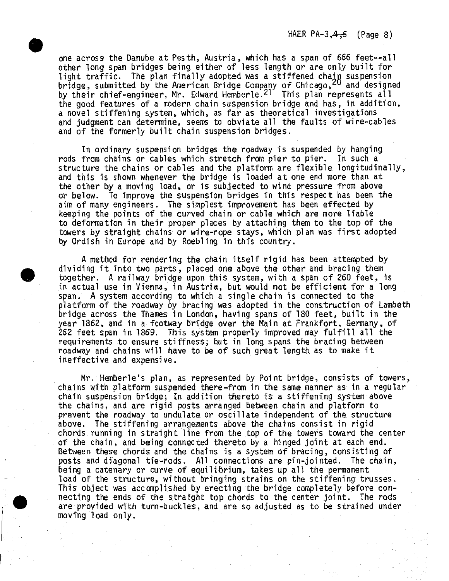HAER  $PA-3, 4, 5$  (Page 8)

one across the Danube at Pesth, Austria, which has a span of 666 feet--all other long span bridges being either of less length or are only built for light traffic. The plan finally adopted was a stiffened chain suspension inght traffic: The plan finally despited mas a sefficient enable suspension.<br>bridge, submitted by the American Bridge Company of Chicago,<sup>20</sup> and designed by their chief-engineer, Mr. Edward Hemberle.<sup>21</sup> This plan represents all the good features of <sup>a</sup> modern chain suspension bridge and has, in addition, <sup>a</sup> novel stiffening system, which, as far as theoretical investigations and judgment can determine, seems to obviate all the faults of wire-cables and of the formerly built chain suspension bridges.

In ordinary suspension bridges the roadway is suspended by hanging rods from chains or cables which stretch from pier to pier. In such <sup>a</sup> structure the chains or cables and the platform are flexible longitudinally, and this is shown whenever the bridge is loaded at one *end* more than at the other by <sup>a</sup> moving load, or is subjected to wind pressure from above or below. To improve the suspension bridges in this respect has been the aim of many engineers. The simplest improvement has been effected by keeping the points of the curved chain or cable which are more liable to deformation in their proper places by attaching them to the top of the towers by straight chains or wire-rope stays, which plan was first adopted by Ordish in Europe and *by* Roebling in this country.

<sup>A</sup> method for rendering the chain itself rigid has been attempted by dividing it into two parts, placed one above the other and bracing them together. <sup>A</sup> railway bridge upon this system, with <sup>a</sup> span of <sup>260</sup> feet, is in actual use in Vienna, in Austria, but would not be efficient for <sup>a</sup> long span. <sup>A</sup> system according to which <sup>a</sup> single chain is connected to the platform of the roadway *by* bracing was adopted in the construction of Lambeth bridge across the Thames in London, having spans of <sup>180</sup> feet, built in the year 1862, and in <sup>a</sup> footway bridge over the Main at Frankfort, Germany, of <sup>262</sup> feet span in 1869. This system properly improved may fulfill all the requirements to ensure stiffness; but *in* long spans the bracing between roadway and chains will have to be of such great length, as to make it ineffective and expensive.

Mr. Hemberle's plan, as represented *by* Point bridge, consists of towers, chains with platform suspended there-from in the same manner as in <sup>a</sup> regular chain suspension bridge; In addition thereto is <sup>a</sup> stiffening system above the chains, and are rigid posts arranged between chain and platform to prevent the roadway to undulate or oscillate independent of the structure above. The stiffening arrangements above the chains consist in rigid chords running in straight line from the top of the towers toward the center of the chain, and being connected thereto by <sup>a</sup> hinged joint at each end. Between these chords and the chains is <sup>a</sup> system of bracing, consisting of posts and diagonal tie-rods. All connections are pin-jointed. The chain, being <sup>a</sup> catenary or curve of equilibrium, takes up all the permanent load of the structure, without bringing strains on the stiffening trusses. This object was accomplished *by* erecting the bridge completely before connecting the ends of the straight top chords to the center joint. The rods are provided with turn-buckles, and are so adjusted as to be strained under moving load only.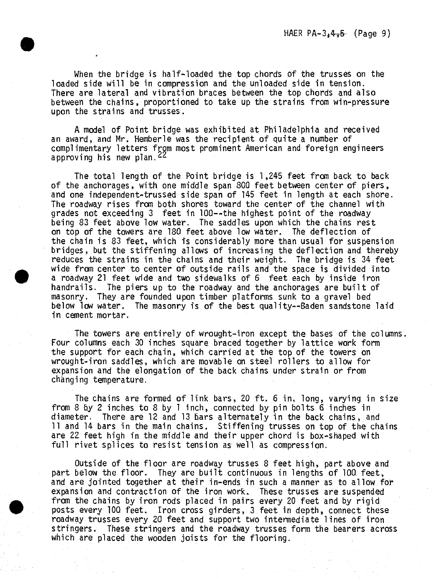When the bridge is half-loaded the top chords of the trusses on the loaded side will be in compression and the unloaded side in tension. There are lateral and vibration braces between the top chords and also between the chains, proportioned to take up the strains from win-pressure upon the strains and trusses.

<sup>A</sup> model of Point bridge was exhibited at Philadelphia and received an award, and Mr. Hemberle was the recipient of quite <sup>a</sup> number of complimentary letters from most prominent American and foreign engineers approving his new plan.  $44$ 

The total length of the Point bridge is 1,245 feet from back to back of the anchorages, with one middle span 800 feet between center of piers, and one independent-trussed side span of <sup>145</sup> feet in length at each shore. The roadway rises from both shores toward the center of the channel with grades not exceeding <sup>3</sup> feet in 100—the highest point of the roadway being 83 feet above low water. The saddles upon which the chains rest on top of the towers are 180 feet above low water. The deflection of the chain is <sup>83</sup> feet, which is considerably more than usual for suspension bridges, but the stiffening allows of increasing the deflection and thereby reduces the strains in the chains and their weight. The bridge is 34 feet wide from center to center of outside rails and the space is divided into <sup>a</sup> roadway <sup>21</sup> feet wide and two sidewalks of 6 feet each *by* inside iron handrails. The piers up to the roadway and the anchorages are built of masonry. They are founded upon timber platforms sunk to <sup>a</sup> gravel bed below low water. The masonry is of the best quality--Baden sandstone laid in cement mortar.

The towers are entirely of wrought-iron except the bases of the columns. Four columns each <sup>30</sup> inches square braced together by lattice work form the support for each chain, which carried at the top of the towers on wrought-iron saddles, which are movable on steel rollers to allow for expansion and the elongation of the back chains under strain or from changing temperature.

The chains are formed of link bars, <sup>20</sup> ft. <sup>6</sup> in, long, varying in size from <sup>8</sup> by <sup>2</sup> inches to 8 by <sup>1</sup> inch, connected by pin bolts <sup>6</sup> inches in diameter. There are <sup>12</sup> and <sup>13</sup> bars alternately in the back chains, and <sup>11</sup> and <sup>14</sup> bars in the main chains. Stiffening trusses on top of the chains are 22 feet high in the middle and their upper chord is box-shaped with full rivet splices to resist tension as well as compression.

Outside of the floor are roadway trusses <sup>8</sup> feet high, part above and part below the floor. They are built continuous in lengths of 100. feet, and are jointed together at their in-ends in such <sup>a</sup> manner as to allow for expansion and contraction of the iron work. These trusses are suspended from the chains by iron rods placed in pairs every <sup>20</sup> feet and *by* rigid posts every 100 feet. Iron cross girders, 3 feet in depth, connect these roadway trusses every 20 feet and support two intermediate lines of iron stringers. These stringers and the roadway trusses form the bearers across which are placed the wooden joists for the flooring.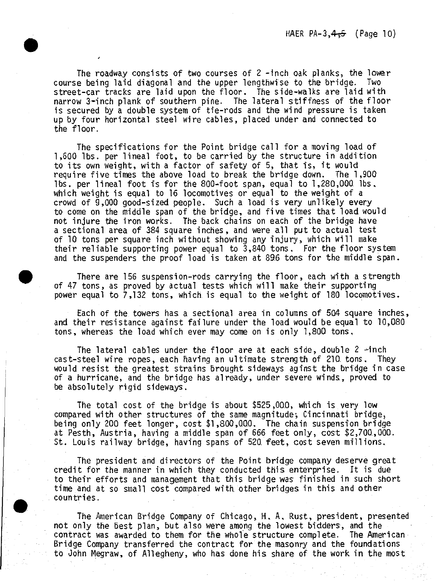The roadway consists of two courses of <sup>2</sup> -inch oak planks, the lower course being laid diagonal and the upper lengthwise to the bridge. Two street-car tracks are laid upon the floor. The side-walks are laid with narrow 3-inch plank of southern pine. The lateral stiffness of the floor is secured by <sup>a</sup> double system of tie-rods and the wind pressure is taken up by four horizontal steel wire cables, placed under and connected to the floor.

The specifications for the Point bridge call for <sup>a</sup> moving load of 1,600 lbs. per lineal foot, to be carried *by* the structure in addition to its own weight, with <sup>a</sup> factor of safety of 5, that Is, it would require five times the above load to break the bridge down. The 1,90Q lbs. per lineal foot fs for the 800-foot span, equal to 1,280,000 lbs. which weight is equal to <sup>16</sup> locomotives or equal to the weight of <sup>a</sup> crowd of 9,000 good-sized people. Such <sup>a</sup> load is very unlikely *every* to come on the middle span of the bridge, and five times that load would not injure the iron works. The back chains on each of the bridge have <sup>a</sup> sectional area of <sup>384</sup> square inches, and were all put to actual test of <sup>10</sup> tons per square inch without showing any injury, which will make their reliable supporting power equal to 3,840 tons. For the floor system and the suspenders the proof load is taken at 896 tons for the middle span.

There are <sup>156</sup> suspension-rods carrying the floor, each with <sup>a</sup> strength of <sup>47</sup> tons, as proved by actual tests, which will make their supporting power equal to 7,132 tons, which is equal to the weight of 180 locomotives.

Each of the towers has a sectional area in columns of 504 square inches, and their resistance against failure under the load would be equal to 10,080 tons, whereas the load which ever may come on is only 1,80Q tons.

The lateral cables under the floor are at each side, double <sup>2</sup> -inch cast-steel wire ropes, each having an ultimate strength of 210. tons. They would resist the greatest strains brought sideways aginst the bridge in case of <sup>a</sup> hurricane, and the bridge has already, under severe winds, proved to be absolutely rigid sideways.

The total cost of the bridge is about \$525,000, which is very low compared with other structures of the same magnitude; Cincinnati bridge, being only 200 feet longer, cost \$1,800,000. The chain suspension bridge at Pesth, Austria, having <sup>a</sup> middle span of 666 feet only, cost \$2,700.,OOQ. St. Louis railway bridge, having spans of <sup>520</sup> feet, cost seven millions.

The president and directors of the Point bridge company deserve great credit for the manner in which they conducted this enterprise. It is due to their efforts and management that this bridge was finished in such short time and at so small cost compared with other bridges in this and other countries.

The American Bridge Company of Chicago, H;. A, Rust, president, presented not only the best plan, but also were among the lowest bidders, and the contract was awarded to them for the whole structure complete. The American Bridge Company transferred the contract for the masonry and the foundations to John Megraw, of Allegheny, who has done his share of the work in the most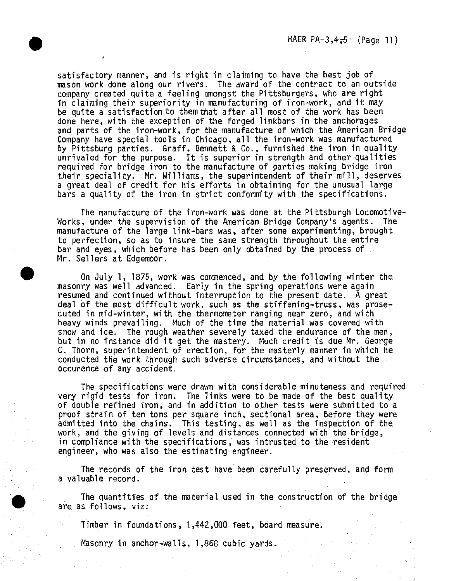satisfactory manner, and is right in claiming to have the best job of mason work done along our rivers. The award of the contract to an outside company created quite a feeling amongst the Pittsburgers, who are right in claiming their superiority in manufacturing of iron-work, and it may be quite a satisfaction to them that after all most of the work has been done here, with the exception of the forged linkbars in the anchorages and parts of the iron-work, for the manufacture of which the American Bridge Company have special tools in Chicago, all the iron-work was manufactured by Pittsburg parties, Graff, Bennett & Co., furnished the iron in quality unrivaled for the purpose, ft is superior in strength and other qualities required for bridge iron to the manufacture of parties making bridge iron their speciality. Mr. Williams, the superintendent of their mill, deserves a great deal of credit for his efforts in obtaining for the unusual large bars a quality of the iron in strict conformity with the specifications.

The manufacture of the iron-work was done at the Pittsburgh Locomotive-Works, under the supervision of the American Bridge Company's agents. The manufacture of the large link-bars was, after some experimenting, brought to perfection, so as to insure the same strength throughout the entire bar and eyes, which before has been only obtained by the process of Mr. Sellers at Edgemoor.

On July 1, 1875, work was commenced, and by the following winter the masonry was well advanced. Early in the spring operations were again resumed and continued without interruption to the present date. A great deal of the most difficult work, such, as the stiffening-truss, was prosecuted in mid-winter, with the thermometer ranging near zero, and with heavy winds prevailing. Much of the time the material was covered with snow and ice. The rough weather severely taxed the endurance of the men, but in no instance did it get the mastery. Much credit is due Mr, George C. Thorn, superintendent of erection, for the masterly manner in which he conducted the work through such adverse circumstances, and without the occurence of any accident.

The specifications were drawn with considerable minuteness and required *yery* rigid tests for iron. The links were to be made of the best quality of double refined iron, and in addition to other tests were submitted to a proof strain of ten tons per square inch., sectional area, before they were admitted into the chains. This testing, as well as the inspection of the work, and the giving of levels and distances connected with the bridge, in compliance with the specifications, was intrusted to the resident engineer, who was also the estimating engineer.

The records of the iron test have been carefully preserved, and form a valuable record.

The quantities of the material used in the construction of the bridge are. as follows, viz:

Timber in foundations, 1,442,000 feet, board measure.

Masonry in anchor-walls, 1,868 cubic yards.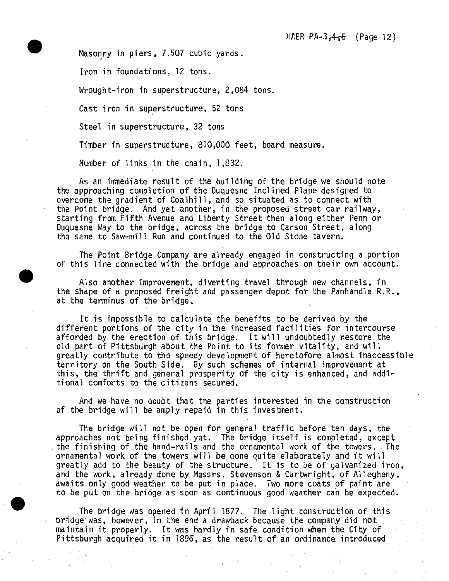Masonry in piers, 7,507 cubic yards.

Iron in foundations, 12 tons.

Wrought-iron in superstructure, 2,084 tons.

Cast iron in superstructure, 52 tons

Steel in superstructure, 32 tons

Timber in superstructure, 810,000 feet, board measure.

Number of links in the chain, 1,832.

As an immediate result of the building of the bridge we should note the approaching completion of the Duquesne Inclined Plane designed to overcome the gradient of Coalhill, and so situated as to connect with the Point bridge. And yet another, in the proposed street car railway, starting from Fifth Avenue and Liberty Street then along either Penn or Duquesne Way to the bridge, across the bridge to Carson Street, along the same to Saw-mill Run and continued to the Old Stone tavern.

The Point Bridge Company are already engaged in constructing a portion of this line connected with the bridge and approaches on their own account.

Also another improvement, diverting travel through new channels, in the shape of a proposed freight and passenger depot for the Panhandle R.R., at the terminus of the bridge.

It is impossible to calculate the benefits to be derived by the different portions of the city in the increased facilities for intercourse afforded by the erection of this bridge. It will undoubtedly restore the old part of Pittsburgh about the Point to its former vitality, and will greatly contribute to the speedy development of heretofore almost inaccessible territory on the South Side. By such schemes of internal improvement at this, the thrift and general prosperity of the city is enhanced, and additional comforts to the citizens secured.

And we have no doubt that the parties interested in the construction of the bridge will be amply repaid in this investment.

The bridge will not be open for general traffic before ten days, the approaches not being finished yet. The bridge itself is completed, except the finishing of the hand-rails and the ornamental work of the towers. The ornamental work of the towers will be done quite elaborately and it will greatly add to the beauty of the structure. It is to be of galvanized iron, and the work, already done *by* Messrs. Stevenson & Cartwright, of Allegheny, awaits only good weather to be put in place. Two more coats of paint are to be put on the bridge as soon as continuous good weather can be expected.

The bridge was opened in April 1877. The light construction of this bridge was, however, in the end a drawback because the company did not maintain it properly. It was hardly *in* safe condition when the City of Pittsburgh acquired it in 1896, as the result of an ordinance, introduced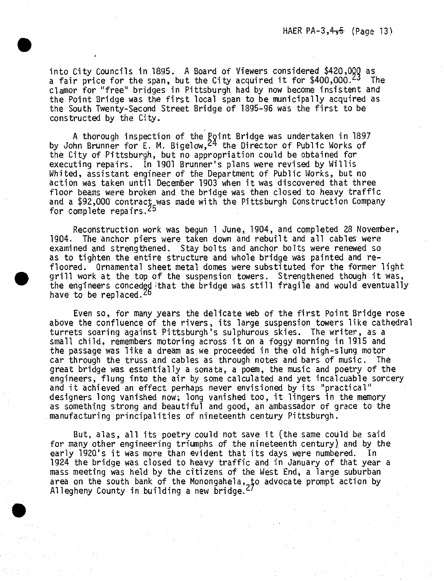into City Councils in 1895. A Board of Viewers considered \$420,000 as a fair price for the span, but the City acquired it for \$400,000.<sup>23</sup> The clamor for "free" bridges in Pittsburgh, had by now become insistent and the Point Bridge was the first local span to be municipally acquired as the South Twenty-Second Street Bridge of 1895-96 was the first to be constructed by the City.

A thorough inspection of the Bpint Bridge was undertaken in 1897 by John Brunner for E. M. Bigelow,<sup>2</sup> ^ the Director of Public Works of the City of Pittsburgh, but no appropriation could be obtained for executing repairs. In 1901 Brunner's plans were revised by Willis Whited, assistant engineer of the Department of Public Works, but no action was taken until December 1903 when it was discovered that three floor beams were broken and the bridge was then closed to heavy traffic and a \$92,000 contract was made with the Pittsburgh Construction Company for complete repairs,<sup>25</sup>

Reconstruction work was begun <sup>1</sup> June, 1904, and completed 23 November, 1904. The anchor piers were taken down and rebuilt and all cables were examined and strengthened. Stay bolts and anchor bolts were renewed so as to tighten the entire structure and whole bridge was painted and refloored. Ornamental sheet metal domes were substituted for the former light grill work at the top of the suspension towers. Strengthened though it was, the engineers conceded that the bridge was still fragile and would eventually have to be replaced.<sup>26</sup>

Even so, for many years the delicate web of the first Point Bridge rose above the confluence of the rivers, its large suspension towers like cathedral turrets soaring against Pittsburgh's sulphurous skies. The writer, as a small child, remembers motoring across it on a foggy morning in 1915 and the passage was like a dream as we proceeded in the old high-slung motor car through the truss and cables as through notes and bars of music. The great bridge was essentially a sonata, a poem, the music and poetry of the engineers, flung into the air by some calculated and yet incalcuable sorcery and it achieved an effect perhaps never envisioned by its "practical" designers long vanished now; long vanished too, it lingers in the memory as something strong and beautiful and good, an ambassador of grace to the manufacturing principalities of nineteenth century Pittsburgh,

But, alas, all its poetry could not save it (the same could be said for many other engineering triumphs of the nineteenth century) and by the early 1920's it was more than evident that its days were numbered. In 1924 the bridge was closed to heavy traffic and in January of that year a mass meeting was held by the citizens of the West End, a large suburban area on the south bank of the Monongahela, to advocate prompt action by Allegheny County in building a new bridge.<sup>27</sup>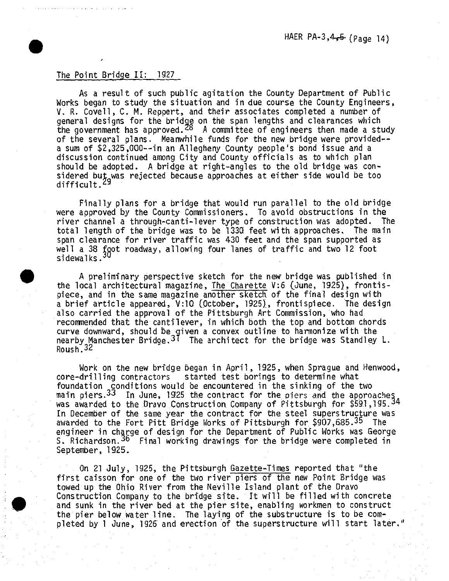### The Point Bridge II: 1927

**•**

As a result of such public agitation the County Department of Public Works began to study the situation and in due course the County Engineers, V. R. Covell, C. M. Reppert, and their associates completed a number of general designs for the bridge on the span lengths and clearances which the government has approved.<sup>20</sup> A committee of engineers then made a study of the several plans. Meanwhile funds for the new bridge were provided-a sum of \$2,325,000--in an Allegheny County people's bond issue and a discussion continued among City and County officials as to which plan should be adopted. A bridge at right-angles to the old bridge was considered but was rejected because approaches at either side would be too<br>difficult.<sup>29</sup>

Finally plans for <sup>a</sup> bridge that would run parallel to the old bridge were approved by the County Commissioners. To avoid obstructions in the river channel a through-canti-lever type of construction was adopted. The total length of the bridge was to be 133Q feet with approaches. The main span clearance for river traffic was 430 feet and the span supported as well a 38 foot roadway, allowing four lanes of traffic and two 12 foot<br>sidewalks.<sup>30</sup>

A preliminary perspective sketch for the new bridge was published in the local architectural magazine, The Charette V:6 (June, 1925), frontispiece, and in the same magazine another sketch of the final design with a brief article appeared, V:10 (October, 1925), frontispiece. The design also carried the approval of the Pittsburgh Art Commission, who had recommended that the cantilever, *in* which both the top and bottom chords curve downward, should be given a convex outline to harmonize with the curve downward, should be given a convex outline to harmonize with the<br>nearby Manchester Bridge.<sup>31</sup> The architect for the bridge was Standley L. near by<br>Roush.<sup>32</sup>

Work on the new bridge began in April, 1925, when Sprague and Henwood, core-drilling contractors started test borings to determine what foundation conditions would be encountered in the sinking of the two main piers.<sup>33</sup> In June, 1925 the contract for the piers and the approaches main piers. This une, 1925 the contract for the piers and the approaches In December of the same year the contract for the steel superstructure was awarded to the Fort Pitt Bridge Works of Pittsburgh for \$907,685.<sup>35</sup> The engineer in charge of design for the Department of Public Works was George engineer in charge of design for the bepartment of rubile works was deorg<br>S. Richardson.<sup>36</sup> Final working drawings for the bridge were completed in September, 1925.

On 21 July, 1925, the Pittsburgh Gazette-Times reported that "the first caisson for one of the two river piers of the new Point Bridge was towed up the Ohio River from the Neville Island plant of the Dravo Construction Company to the bridge site. It will be filled with concrete and sunk *in* the river bed at the pier site, enabling workmen to construct the pier below water line. The laying of the substructure is to be completed *by* <sup>1</sup> June, 1926 and erection of the superstructure will start later,"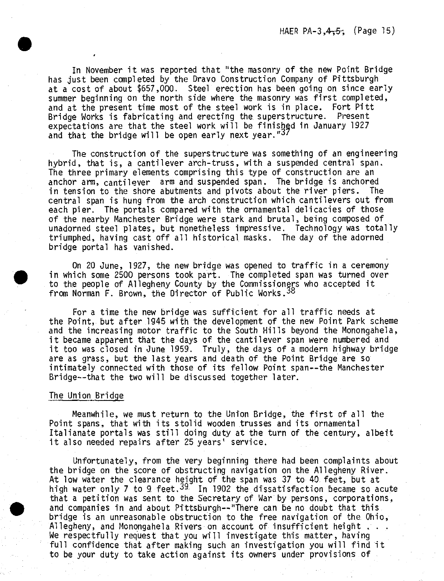In November it was reported that "the masonry of the new Point Bridge has just been completed by the Dravo Construction Company of Pittsburgh at a cost of about \$657,000. Steel erection has been going on since early summer beginning on the north side where the masonry was first completed, and at the present time most of the steel work is in place. Fort Pitt Bridge Works is fabricating and erecting the superstructure. Present expectations are that the steel work will be finished in January 1927 and that the bridge will be open early next year."37

The construction of the superstructure was something of an engineering hybrid, that is, a cantilever arch-truss, with a suspended central span. The three primary elements comprising this type of construction are an anchor arm, cantilever arm and suspended span. The bridge is anchored in tension to the shore abutments and pivots about the river piers. The central span is hung from the arch construction which cantilevers out from each pier. The portals compared with the ornamental delicacies of those of the nearby Manchester Bridge were stark and brutal, being composed of unadorned steel plates, but nonetheless impressive. Technology was totally triumphed, having cast off all historical masks. The day of the adorned bridge portal has vanished.

On 20 June, 1927, the new bridge was opened to traffic in a ceremony in which some 2500 persons took part. The completed span was turned over to the people of Allegheny County by the Commissioners who accepted it from Norman F. Brown, the Director of Public Works.38

For a time the new bridge was sufficient for all traffic needs at the Point, but after 1945 with the development of the new Point Park scheme and the increasing motor traffic to the South Hills beyond the Monongahela, it became apparent that the days of the cantilever span were numbered and it too was closed in June 1959. Truly, the days of a modern highway bridge are as grass, but the last years and death of the Point Bridge are so intimately connected with those of its fellow Point span--the Manchester Bridge—that the two will be discussed together later.

### The Union Bridge

Meanwhile, we must return to the Union Bridge, the first of all the Point spans, that with its stolid wooden trusses and its ornamental Italianate portals was still doing duty at the turn of the century, albeit it also needed repairs after 25 years' service.

Unfortunately, from the very beginning there had been complaints about the bridge on the score of obstructing navigation on the Allegheny River. At low water the clearance height of the span was 37 to 40 feet, but at At fow water the clearance height of the span was 37 to 43 feet, but at<br>high water only 7 to 9 feet, <sup>39</sup> In 1902 the dissatisfaction became so acute that a petition was sent to the Secretary of War by persons, corporations, and companies in and about Pittsburgh—"There can be no doubt that this bridge is an unreasonable obstruction to the free navigation of the. Ohio, Allegheny, and Monongahela Rivers on account of insufficient height . . . We respectfully request that you will investigate this matter, having full confidence that after making such an investigation you will find it to be your duty to take action against its owners under provisions of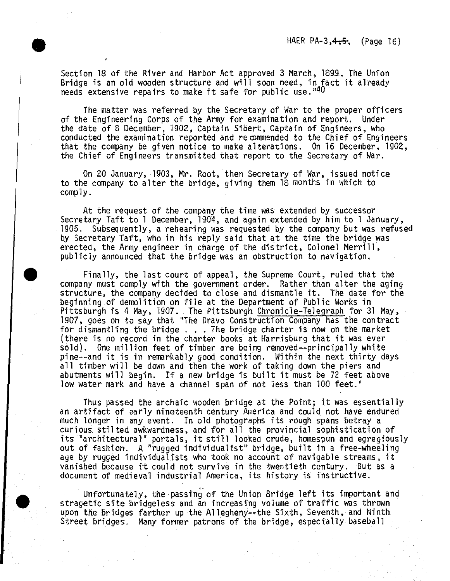Section 18 of the River and Harbor Act approved 3 March, 1839., The Union Bridge is an old wooden structure and will soon need, in fact it already needs extensive repairs to make it safe for public use." $40$ 

The matter was referred *by* the Secretary of War to the proper officers of the Engineering Corps of the Army for examination and report. Under the date of 8 December, 1902, Captain Sibert, Captain of Engineers, who conducted the examination reported and recommended to the Chief of Engineers that the company be given notice to make alterations. On 16 December, 19Q2, the Chief of Engineers transmitted that report to the Secretary of War.

On 2Q January, 1903, Mr. Root, then Secretary of War, issued notice to the company to alter the bridge, giving them 18 months in which to comply.

At the request of the company the time was extended by successor Secretary Taft to <sup>1</sup> December, 1904, and again extended by him to <sup>1</sup> January, 1905. Subsequently, a rehearing was requested *by* the company but was refused by Secretary Taft, who in his reply said that at the time the bridge was erected, the Army engineer in charge of the district, Colonel Merrill, publicly announced that the bridge was an obstruction to navigation.

Finally, the last court of appeal, the Supreme Court, ruled that the company must comply with the government order. Rather than alter the aging structure, the company decided to close and dismantle it. The date for the beginning of demolition on file at the Department of Public Works in Pittsburgh is 4 May, 1907, The Pittsburgh Chronicle-Telegraph for 31 May, 1907, goes on to say that "The Dravo Construction Company has the contract for dismantling the bridge . . . The bridge charter is now on the market (there is no record in the charter books at Karrisburg that it was ever sold). One million feet of timber are being removed—principally white pine—and it is in remarkably good condition. Within the next thirty days all timber will be down and then the work of taking down the piers and abutments will begin. If a new bridge is built it must be 72 feet above low water mark and have a channel span of not less than 100 feet."

Thus passed the archaic wooden bridge at the Point; it was essentially an artifact of early nineteenth century America and could not have endured much longer in any event. Tn old photographs its rough spans betray a curious stilted awkwardness, and for all the provincial sophistication of its "architectural" portals, it still looked crude, homespun and egregiously out of fashion. A "rugged individualist" bridge, built in a free-wheeling age *by* rugged individualists who took no account of navigable streams, it vanished because it could not survive in the twentieth century. But as a document of medieval industrial America, its history is instructive.

Unfortunately, the passing of the Union Bridge left its important and stragetic site bridgeless and an increasing volume of traffic was thrown upon the bridges farther up the Allegheny--the Sixth, Seventh, and Ninth Street bridges. Many former patrons of the bridge, especially baseball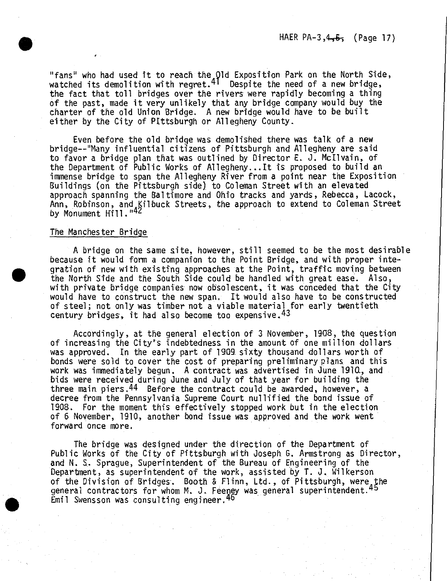HAER PA-3, $4\frac{1}{2}$ , (Page 17)

"fans" who had used tt to reach the Old Exposition Park on the North Side, watched its demolition with regret.41 Despite the need of <sup>a</sup> new bridge, the fact that toll bridges over the rivers were rapidly becoming a thing of the past, made it very unlikely that any bridge company would buy the charter of the old Union Bridge. A new bridge would have to be built either by the City of Pittsburgh or Allegheny County.

Even before the old bridge was demolished there was talk of a new bridge—"Many influential citizens of Pittsburgh and Allegheny are said to favor a bridge plan that was outlined by Director E. J. Mcllvain, of the Department of Public Works of Allegheny...It is proposed to build an immense bridge to span the Allegheny River from a point near the Exposition Buildings (on the Pittsburgh side) to Coleman Street with an elevated approach spanning the Baltimore and Ohio tracks and yards, Rebecca, Lacock, Ann, Robinson, and Kilbuck Streets, the approach to extend to Coleman Street<br>by Monument Hill."<sup>42</sup>

### The Manchester Bridge

A bridge on the same site, however, still seemed to be the most desirable because it would form a companion to the Point Bridge, and with proper integration of new with existing approaches at the Point, traffic moving between the North Side and the South Side could be handled with great ease. Also, with private bridge companies now obsolescent, it was conceded that the City would have to construct the new span. *It* would also have to be constructed of steel; not only was timber not a viable material for early twentieth century bridges, it had also become too expensive.  $43$ 

Accordingly, at the general election of 3 November, 1908, the question of increasing the City's indebtedness in the amount of one million dollars was approved. In the early part of 1909. sixty thousand dollars worth of bonds were sold to cover the cost of preparing preliminary plans and this work was immediately begun. <sup>A</sup> contract was advertised *in* June 1910., and bids were received during June and July of that year for building the three main piers.<sup>44</sup> Before the contract could be awarded, however, a decree from the Pennsylvania Supreme Court nullified the bond issue of 1908. For the moment this effectively stopped work but in the election of 6 November, 191Q, another bond issue was approved and the work went forward once more.

The bridge was designed under the direction of the Department of Public Works of the City of Pittsburgh with Joseph G. Armstrong as Director, and N. S. Sprague, Superintendent of the Bureau of Engineering of the Department, as superintendent of the work, assisted *by* T. J. Wilkerson of *the* Division of Bridges. Booth & Flinn, Ltd., of Pittsburgh, were the general contractors for whom M. J. Feeney was general superintendent.<sup>45</sup> Emil Swensson was consulting engineer.<sup>46</sup>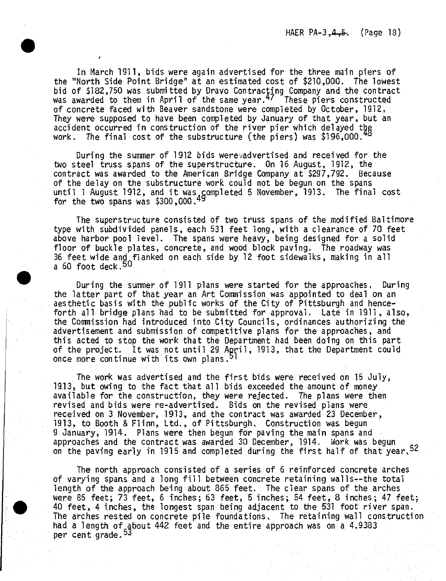In March 1911, bids were again advertised for the three main piers of the "North Side Point Bridge" at an estimated cost of \$210,000. The lowest bid of \$182,750 was submitted by Dravo Contracting Company and the contract was awarded to them in April of the same year.<sup>47</sup> These piers constructed of concrete faced with Beaver sandstone were completed *by* October, 1912. They were supposed to have been completed by January of that year, but an accident occurred in construction of the river pier which delayed the work. The final cost of the substructure (the piers) was  $\$196,000.$ 

During the summer of 1912 bids were advertised and received for the two steel truss spans of the superstructure. On 16 August, 1912, the contract was awarded to the American Bridge Company at \$297,792. Because of the delay on the substructure work could not be begun on the spans or the delay on the substructure work could not be begun on the spans<br>until 1 August 1912, and it was completed 5 November, 1913. The final cost for the two spans was  $$300,000.49$ 

The superstructure consisted of two truss spans of the modified Baltimore type with subdivided panels, each <sup>531</sup> feet long, with <sup>a</sup> clearance of 7Q feet above harbor pool level. The spans were heavy, being designed for <sup>a</sup> solid floor of buckle plates, concrete, and wood block paving. The roadway was <sup>36</sup> feet wide and flanked on each side *by* <sup>12</sup> foot sidewalks, making in all a 60 foot deck.<sup>50</sup>

During the summer of <sup>1911</sup> plans were started for the approaches, During the latter part of that year an Art Commission was appointed to deal on an aesthetic basis with the public works of the City of Pittsburgh and henceforth all bridge plans had to be submitted for approval. Late in 1911, also, the Commission had introduced into City Councils, ordinances authorizing the advertisement and submission of competitive plans for the approaches, and this acted to stop the work that the Department had *beer\* doing on this part of the project. It was not until <sup>29</sup> April, 1913, that the Department could once more continue with its own plans.*^*

The work was advertised and the first bids were received on <sup>15</sup> July, 19.13, but owing to the fact that all bids exceeded the amount of money available for the construction, they were rejected. The plans were then revised and bids were re-advertised. Bids on the revised plans were received on 3 November, 1913, and the contract was awarded 23 December, 1913, to Booth & Flinn, Ltd., of Pittsburgh. Construction was begun 9. January, 1914. Plans were then begun for paving the main spans and approaches and the contract was awarded 30. December, 1914. Work was begun on the paving early in 1915 and completed during the first half of that year, 52

The north, approach consisted of <sup>a</sup> series of <sup>6</sup> reinforced concrete arches of varying spans, and <sup>a</sup> long fill between concrete retaining walls—the total length of the approach being about 865 feet. The clear spans of the arches were 85 feet; 73 feet, 6 inches; 63 feet, 5 inches; 54 feet, 8 inches; 47 feet; <sup>40</sup> feet, <sup>4</sup> inches, the longest span being adjacent to the <sup>531</sup> foot river span. The arches rested on concrete pile foundations. The retaining wall construction had a length of  $a$ bout 442 feet and the entire approach was on a 4.9383 nau a rengun or a<br>per cent grade.<sup>53</sup>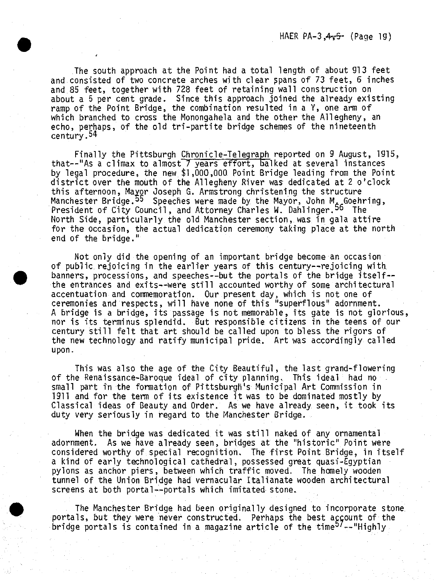The south approach at the Point had <sup>a</sup> total length of about 913 feet and consisted of two concrete arches with clear spans of 73 feet, <sup>6</sup> inches and 85 feet, together with 728 feet of retaining wall construction on about <sup>a</sup> <sup>5</sup> per cent grade. Since this approach joined the already existing ramp of the Point Bridge, the combination resulted in <sup>a</sup> Y, one arm of which branched to cross the Monongahela and the other the Allegheny, an echo, perhaps, of the old tri-partite bridge schemes of the nineteenth century.54

Finally the Pittsburgh Chronicle-Telegraph reported on <sup>9</sup> August, 1915, that--"As <sup>a</sup> climax to almost <sup>7</sup> years effort, balked at several instances by legal procedure, the new \$1,000,000 Point Bridge leading from the Point district over the mouth of the Allegheny River was dedicated at <sup>2</sup> o'clock this afternoon, Mayor Joseph G. Armstrong christening the structure Manchester Bridge.*\$\$* Speeches were made by the Mayor, John M. Goehring, President of City Council, and Attorney Charles W. Dahlinger.<sup>56</sup> The North Side, particularly the old Manchester section, was in gala attire for the occasion, the actual dedication ceremony taking place at the north end of the bridge."

Not only did the opening of an important bridge become an occasion of public rejoicing in the earlier years of this century--rejoicing with banners, processions, and speeches--but the portals of the bridge itself-the entrances and exits—were still accounted worthy of some architectural accentuation and commemoration. Our present day, which is not one of ceremonies and respects, will have none of this "superflous" adornment. <sup>A</sup> bridge is <sup>a</sup> bridge, its passage is not memorable, its gate is not glorious, nor is its terminus splendid. But responsible citizens in the teens of our century still felt that art should be called upon to bless the rigors of the new technology and ratify municipal pride. Art was accordingly called upon.

This was also the age of the City Beautiful, the last grand-flowering of the Renaissance-Baroque ideal of city planning. This ideal had no small part in the formation of Pittsburgh's Municipal Art Commission in <sup>1911</sup> and for the term of its existence it was to be dominated mostly by Classical ideas of Beauty and Order. As we have already seen, it took its duty very seriously in regard to the Manchester Bridge.

When the bridge was dedicated it was still naked of any ornamental adornment. As we have already seen, bridges at the "historic" Point were considered worthy of special recognition. The first Point Bridge, in itself <sup>a</sup> kind of early technological cathedral, possessed great quasi-Egyptian pylons as anchor piers, between which traffic moved. The homely wooden tunnel of the Union Bridge had vernacular Italianate wooden architectural screens at both portal--portals which imitated stone.

The Manchester Bridge had been originally designed to incorporate stone portals, but they were never constructed. Perhaps the best account of the bridge portals is contained in a magazine article of the time<sup>57</sup> -- "Highly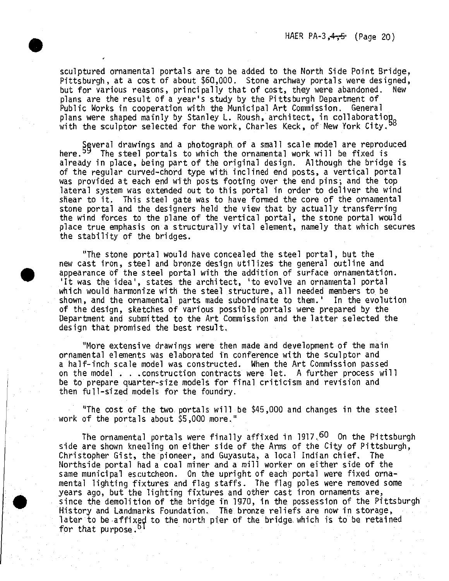sculptured ornamental portals are to be added to the North Side Point Bridge, Pittsburgh, at a cost of about \$60,000. Stone archway portals were designed, but for various reasons, principally that of cost, they were abandoned. New plans are the result of a year's study by the Pittsburgh Department of Public Works in cooperation with the Municipal Art Commission. General plans were shaped mainly by Stanley L. Roush, architect, in collaboration<br>with the sculptor selected for the work, Charles Keck, of New York City.<sup>58</sup>

Several drawings and a photograph of a small scale model are reproduced<br>here.<sup>59</sup> The steel portals to which the ornamental work will be fixed is already in place, being part of the original design. Although the bridge is of the regular curved-chord type with inclined end posts, a vertical portal was provided at each end with posts footing over the end pins; and the top lateral system was extended out to this portal in order to deliver the wind shear to it. This steel gate was to have formed the core of the ornamental stone portal and the designers held the view that by actually transferring the wind forces to the plane of the vertical portal, the stone portal would place true emphasis on a structurally vital element, namely that which secures the stability of the bridges.

"The stone portal would have concealed the steel portal, but the new cast Iron, steel and bronze design utilizes the general outline and appearance of the steel portal with the addition of surface ornamentation. 'It was the idea', states the architect, 'to evolve an ornamental portal which would harmonize with the steel structure, all needed members to be shown, and the ornamental parts made subordinate to them.' In the evolution of the design, sketches of various possible portals were prepared *by* the Department and submitted to the Art Commission and the latter selected the design that promised the best result,

"More extensive drawings were then made and development of the main ornamental elements was elaborated in conference with the sculptor and a half-inch scale model was constructed. When the Art Commission passed on the model . . .construction contracts were let. A further process will be to prepare quarter-size models for final criticism and revision and then full-sized models for the foundry.

"The cost of the two portals will be \$45,000 and changes in the steel work of the portals about \$5,000 more."

The ornamental portals were finally affixed in 1917. $^{60}$  On the Pittsburgh side are shown kneeling on either side of the Arms of the City of Pittsburgh, Christopher Gist, the pioneer, and Guyasuta, a local Indian chief. The Northside portal had a coal miner and a mill worker on either side of the same municipal escutcheon. On the upright of each portal were fixed ornamental lighting fixtures and flag staffs. The flag poles were removed some years ago, but the lighting fixtures and other cast iron ornaments are, since the demolition of the bridge in 197Q, in the possession of the Pittsburgh History and Landmarks Foundation. The hronze reliefs are now in storage, later to be affixed to the north pier of the bridge which is to be retained for that purpose.<sup>6</sup>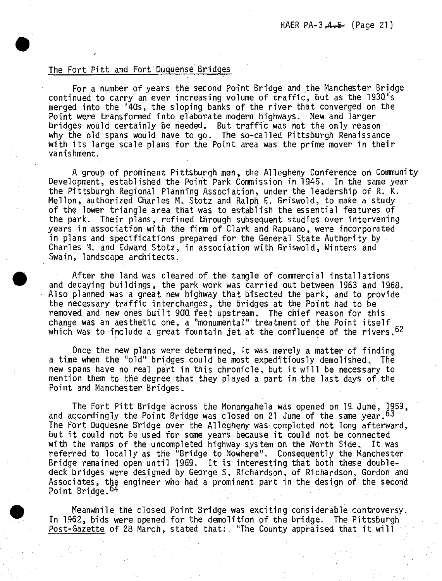## The Fort Pftt and Fort Duguense Bridges

**»**

For a number of years the second Point Bridge and the Manchester Bridge continued to carry an ever increasing volume of traffic, but as the 1930's merged into the '40s, the sloping banks of the river that converged on the Point were transformed into elaborate modern highways. New and larger bridges would certainly be needed. But traffic was not the only reason why the old spans would have to go. The so-called Pittsburgh Renaissance with its large scale plans for the Point area was the prime mover in their vanishment.

A group of prominent Pittsburgh men, the Allegheny Conference on Community Development, established the Point Park Commission in 1945. In the same year the Pittsburgh Regional Planning Association, under the leadership of R. K. Mellon, authorized Charles M. Stotz and Ralph E. Griswold, to make a study of the lower triangle area that was to establish the essential features of the park. Their plans, refined through subsequent studies over intervening years in association with the firm of Clark and Rapuano, were incorporated in plans and specifications prepared for the General State Authority by Charles M. and Edward Stotz, in association with Griswold, Winters and Swain, landscape architects.

After the land was cleared of the tangle of commercial installations and decaying buildings, the park work was carried out between 1963 and 1968. Also planned was a great new highway that bisected the park, and to provide the necessary traffic interchanges, the bridges at the Point had to be removed and new ones built 900 feet upstream. The chief reason for this change was an aesthetic one, a "monumental" treatment of the Point itself which was to include a great fountain jet at the confluence of the rivers. <sup>62</sup>

Once the new plans were determined, it was merely a matter of finding a time when the "old" bridges could be most expeditiously demolished. The new spans have no real part in this chronicle, but it will be necessary to mention them to the degree that they played a part in the last days of the Point and Manchester Bridges.

The Fort Pitt Bridge across the Monongahela was opened on 19. June, 1959, and accordingly the Point Bridge was closed on 21 June of the same year.  $63$ The Fort Duquesne Bridge over the Allegheny was completed not long afterward, but it could not be used for some years because it could not be connected with the ramps of the uncompleted highway system on the North Side. It was referred to locally as the "Bridge to Nowhere", Consequently the Manchester Bridge remained open until 1969. It is interesting that both these doubledeck bridges were designed by George S, Richardson, of Richardson, Gordon and Associates, the engineer who had a prominent part in the design of the second Point Bridge, <sup>64</sup>

Meanwhile the closed Point Bridge was exciting considerable controversy. In 1962, bids were opened for the demolition of the bridge. The Pittsburgh Post-Gazette of 28 March, stated that: "The County appraised that it will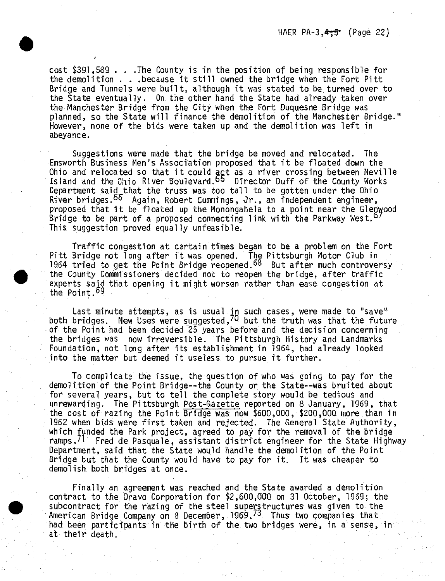cost \$391,589 . . .The County is in the position of being responsible for the demolition . . .because it still owned the bridge when the Fort Pitt Bridge and Tunnels were built, although it was stated to be turned over to the State eventually. On the other hand the State had already taken over the Manchester Bridge from the City when the Fort Duquesne Bridge was planned, so the State will finance the demolition of the Manchester Bridge." However, none of the bids were taken up and the demolition was left in abeyance.

Suggestions were made that the bridge be moved and relocated. The Emsworth Business Hen's Association proposed that it be floated down the Ohio and relocated so that it could act as a river crossing between Neville Island and the Ohio River Boulevard.<sup>65</sup> Director Duff of the County Works Department said that the truss was too tall to be gotten under the Ohio River bridges.°^ Again, Robert Cummings, *Jr.,* an independent engineer, proposed that it be floated up the Monongahela to a point near the Glenwood Bridge to be part of a proposed connecting link with the Parkway West.<sup>0</sup>' This suggestion proved equally unfeasible.

Traffic congestion at certain times began to be a problem on the Fort Pitt Bridge not long after it was opened. The Pittsburgh Motor Club in 1964 tried to get the Point Bridge reopened.<sup>68</sup> But after much controversy the County Commissioners decided not to reopen the bridge, after traffic experts said that opening it might worsen rather than ease congestion at the Point.<sup>69</sup>

Last minute attempts, as is usual in such cases, were made to "save<sup>a</sup> both bridges. New Uses were suggested, 70 but the truth was that the future of the Point had been decided 25 years before and the decision concerning the bridges was now irreversible. The Pittsburgh History and Landmarks Foundation, not long after its establishment in 1964, had already looked into the matter but deemed it useless to pursue it further.

To complicate the issue, the question of who was going to pay for the demolition of the Point Bridge—the County or the State--was bruited about for several years, but to tell the complete story would be tedious and unrewarding. The Pittsburgh Post-Gazette reported on 8 January, 1969, that the cost of razing the Point Bridge was now \$600,OQQ, \$200,000 more than in 1962 when bids were first taken and rejected. The General State Authority, which funded the Park project, agreed to pay for the removal of the bridge ramps.<sup>71</sup> Fred de Pasquale, assistant district engineer for the State Highway Department, said that the State would handle the demolition of the Point Bridge but that the County would have to pay for it. It was cheaper to demolish, both bridges at once.

Finally an agreement was reached and the State awarded a demolition contract to the Dravo Corporation for \$2,600,000 on 31 October, 1969; the subcontract for the razing of the steel superstructures was given to the American Bridge Company on 8 December, 1969.73 Thus two companies that had been participants in the birth of the two bridges were, in a sense, in at their death.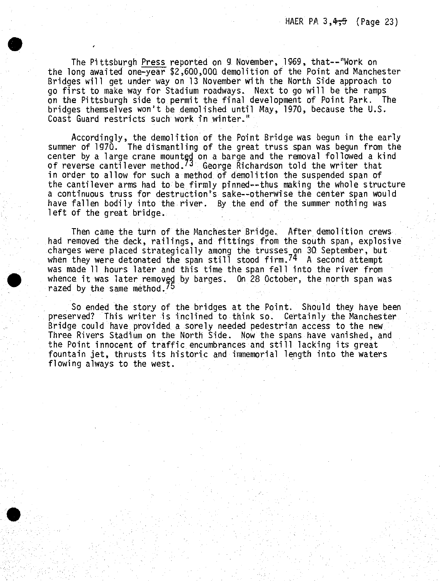The Pittsburgh Press reported on 9 November, 1969, that—"Work on the long awaited one-year \$2,600,000. demolition of the Point and Manchester Bridges will get under way on 13 November with the North Side approach to go first to make way for Stadium roadways. Next to go will be the ramps on the Pittsburgh side to permit the final development of Point Park. The bridges themselves won't be demolished until May, 1970, because the U.S. Coast Guard restricts such work in winter."

Accordingly, the demolition of the Point Bridge was begun in the early summer of 1970. The dismantling of the great truss span was begun from the center by a large crane mounted on a barge and the removal followed a kind of reverse cantilever method.<sup>73</sup> George Richardson told the writer that in order to allow for such a method of demolition the suspended span of the cantilever arms had to be firmly pinned—thus making the whole structure a continuous truss for destruction's sake—otherwise the center span would have fallen bodily into the river. By the end of the summer nothing was left of the great bridge.

Then came the turn of the Manchester Bridge. After demolition crews had removed the deck, railings, and fittings from the south span, explosive charges were placed strategically among the trusses on 30. September, but when they were detonated the span still stood firm.<sup>74</sup> A second attempt was made 11 hours later and this time the span fell into the river from whence it was later removed *by* barges. On 28 October, the north span was razed by the same method.'5

So ended the story of the bridges at the Point. Should they have been preserved? This writer is inclined to think so. Certainly the Manchester Bridge could have provided a sorely needed pedestrian access to the new Three Rivers Stadium on the North Side. Now the spans have vanished, and the Point innocent of traffic encumbrances and still lacking its great fountain jet, thrusts its historic and immemorial length into the waters, flowing always to the west.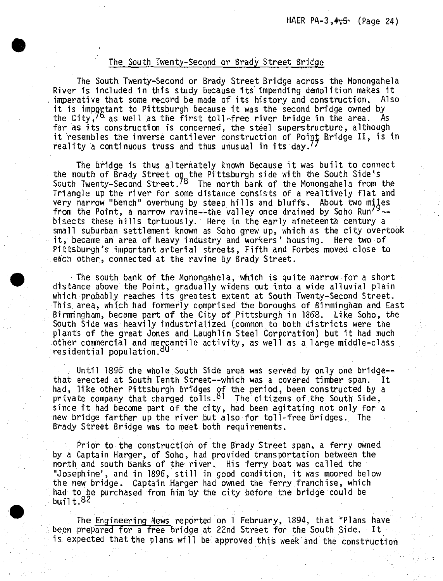### The South Twenty-Second or'Brady Street Bridge

The South Twenty-Second or Brady Street Bridge across the Monongahela River is included in this study because its impending demolition makes it imperative that some record be made of its history and construction. Also it is important to Pittsburgh because it was the second bridge owned by<br>the City,  $\overline{6}$  as well as the first toll-free river bridge in the area. As the City,  $\frac{76}{10}$  as well as the first toll-free river bridge in the area. far as its construction is concerned, the steel superstructure, although it resembles the inverse cantilever construction of Point Bridge II, is in reality a continuous truss and thus unusual in its day.''

The bridge is thus alternately known because it was built to connect the mouth of Brady Street on the Pittsburgh side with the South Side's South Twenty-Second Street.<sup>78</sup> The north bank of the Monongahela from the Triangle up the river for some distance consists of <sup>a</sup> realtively flat and very narrow "bench" overhung by steep hills and bluffs. About two miles from the Point, a narrow ravine—the valley once drained by Soho Run'  $\sim$ bisects these hills tortuously. Here in the early nineteenth century <sup>a</sup> small suburban settlement known as Soho grew up, which as the city overtook it, became an area of heavy industry and workers' housing. Here two of Pittsburgh's important arterial streets, Fifth and Forbes moved close to each other, connected at the ravine by Brady Street.

The south bank of the Monongahela, which is quite narrow for <sup>a</sup> short distance above the Point, gradually widens out into <sup>a</sup> wide alluvial plain which probably reaches its greatest extent at South Twenty-Second Street. This, area, which had formerly comprised the boroughs of Birmingham and East Birmingham, became part of the City of Pittsburgh in 1868. Like Soho, the South Side was heavily industrialized (common to both districts were the plants of the great Jones and Laughlin Steel Corporation) but it had much other commercial and mercantile activity, as well as <sup>a</sup> large middle-class residential population.<sup>80</sup>

Until 1896 the whole South Side area was served by only one bridgethat erected at South Tenth Street—which was <sup>a</sup> covered timber span. It had, like other Pittsburgh bridges of the period, been constructed by <sup>a</sup> private company that charged tolls. $81$  The citizens of the South Side, since it had become part of the city, had been agitating not only for <sup>a</sup> new bridge farther up the river but also for toll-free bridges. The Brady Street Bridge was to meet both requirements.

Prior to the construction of the Brady Street span, <sup>a</sup> ferry owned by <sup>a</sup> Captain Harger, of Soho, had provided transportation between the north and south banks of the river. His ferry boat was called the "Josephine", and in 1896, still in good condition, it was moored below the new bridge. Captain Harger had owned the ferry franchise, which had to be purchased from him by the city before the bridge could be built. $82$ 

The Engineering News reported on <sup>1</sup> February, 1894, that "Plans have been prepared for <sup>a</sup> free bridge at 22nd Street for the South Side. It is, expected that the plans will be approved this week and the construction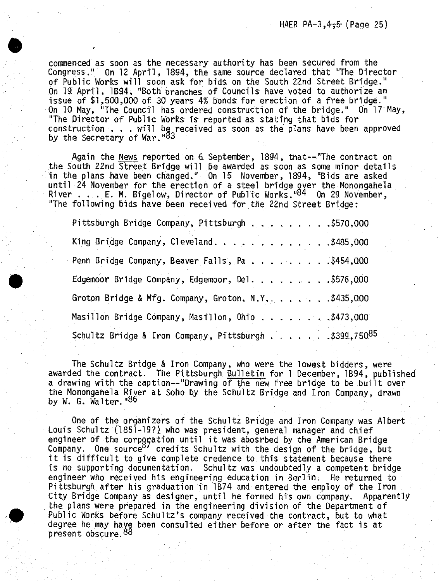commenced as soon as the necessary authority has *been* secured from the Congress." On 12 April, 1894, the same source declared that "The Director of Public Works will soon ask for bids on the South 22nd Street Bridge." On 19 April, 1894, "Both branches of Councils have voted to authorize an issue of \$1,500,000 of 30 years 4% bonds for erection of a free bridge." On 10 May, "The Council has ordered construction of the bridge," On 17 May, "The Director of Public Works is reported as stating that bids for construction . . . will be received as soon as the plans have been approved<br>by the Secretary of War."<sup>83</sup>

**»**

Again the News reported on 6. September, 1894, that—"The contract on the South 22nd Street Bridge will be awarded as soon as some minor details in the plans have been changed." On 15 November, 1894, "Bids are asked until 24 November for the erection of a steel bridge over the Monongahela<br>River . . . E. M. Bigelow, Director of Public Works."<sup>84</sup> On 29 November, "The following bids have been received for the 22nd Street Bridge:

| Pittsburgh Bridge Company, Pittsburgh \$570,000       |  |
|-------------------------------------------------------|--|
| King Bridge Company, Cleveland. \$485,000             |  |
| Penn Bridge Company, Beaver Falls, Pa. \$454,000      |  |
| Edgemoor Bridge Company, Edgemoor, Del. \$576,000     |  |
| Groton Bridge & Mfg. Company, Groton, N.Y \$435,000   |  |
| Masillon Bridge Company, Masillon, Ohio \$473,000     |  |
| Schultz Bridge & Iron Company, Pittsburgh \$399,75085 |  |

The Schultz Bridge & Iron Company, who were the lowest bidders, were awarded the contract. The Pittsburgh Bulletin for <sup>1</sup> December, 1894, published a drawing with the caption—"Drawing of the new free bridge to be built over the Monongahela River at Soho by the Schultz Bridge and Iron Company, drawn by W. G. Walter."<sup>86</sup>

One of the organizers of the Schultz Bridge and Iron Company was Albert Louis Schultz (1851-19?) who was president, general manager and chief engineer of the corporation until it was abosrbed by the American Bridge company. One source<sup>87</sup> credits Schultz with the design of the bridge, but it is difficult to give complete credence to this statement because there is no supporting documentation. Schultz was undoubtedly a competent bridge engineer who received his engineering education in Berlin. He returned to Pittshurgh after his graduation in 1874 and entered the employ of the Iron City Bridge Company as designer, until he formed his own company. Apparently the plans were prepared *in* the engineering division of the Department of Public Works before Schultz*\*s* company received the contract, but to what degree he may have been consulted either before or after the fact is at present obscure.88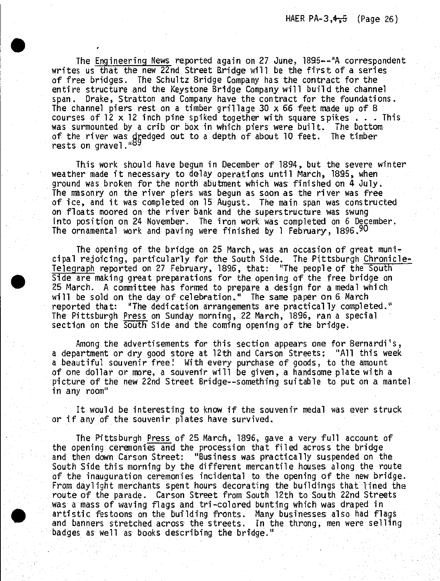The Engineering News reported again on 27 June, 1895—4"A correspondent writes us that the new 22nd Street Bridge will be the first of a series of free bridges. The Schultz Bridge Company has the contract for the entire structure and the Keystone Bridge Company will build the channel span. Drake, Stratton and Company have the contract for the foundations. The channel piers rest on <sup>a</sup> timber grillage <sup>30</sup> x 66 feet made up of <sup>8</sup> courses of  $12 \times 12$  inch pine spiked together with square spikes . . . This was surmounted by <sup>a</sup> crib or box in which piers were built. The bottom of the river was dredged out to a depth of about 10 feet. The timber rests on gravel."89

This work should have begun in December of 1894, but the severe winter weather made it necessary to delay operations until March, 1895, when ground was broken for the north abutment which was finished on <sup>4</sup> July. The masonry on the river piers was begun as soon as the river was free of ice, and it was completed on <sup>15</sup> August. The main span was constructed on floats moored on the river bank and the superstructure was swung into position on <sup>24</sup> November. The iron work was completed on <sup>6</sup> December. The ornamental work and paving were finished by 1 February, 1896, 90

The opening of the bridge on 25 March, was an occasion of great municipal rejoicing, particularly for the South Side, The Pittsburgh Chronicler-Telegraph reported on <sup>27</sup> February, 1846, that: "The people of the South Side are making great preparations for the opening of the free bridge on 25 March. <sup>A</sup> committee has formed to prepare <sup>a</sup> design for <sup>a</sup> medal which will be sold on the day of celebration." The same paper on <sup>6</sup> March reported that: "The dedication arrangements are practically completed," The Pittsburgh Press on Sunday morning, 22 March, 1896, ran <sup>a</sup> special section on the South Side and the coming opening of the bridge.

Among the advertisements for this section appears one for Bernardi's, <sup>a</sup> department or dry good store at 12th and Carson Streets; "All this week a beautiful souvenir free! With every purchase of goods, to the amount of one dollar or more, <sup>a</sup> souvenir will be given, <sup>a</sup> handsome plate with <sup>a</sup> picture of the new 22nd Street Bridge—something suitable to put on a mantel in any room"

It would be interesting to know if the souvenir medal was ever struck or if any of the souvenir plates have survived.

The Pittsburgh Press of <sup>25</sup> March, 1896, gave <sup>a</sup> very full account of the opening ceremonies and the procession that filed across the bridge and then down Carson Street: "Business was practically suspended on the South Side this morning by the different mercantile houses along the route of the inauguration ceremonies incidental to the opening of the new bridge. From daylight merchants spent hours decorating the buildings that lined the route of the parade. Carson Street from South 12th to South 22nd Streets was <sup>a</sup> mass of waving flags and tri-colored bunting which was draped in artistic festoons on the Building fronts. Many businesses also had flags and banners stretched across the streets. In the throng, men were selling badges as well as books describing the bridge."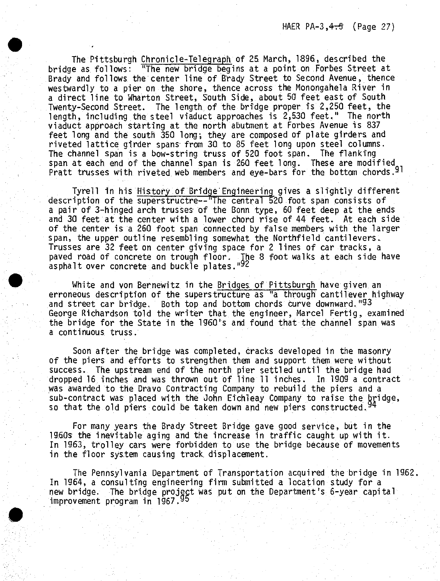The Pittsburgh Chronicle-Telegraph of 25 March, 1896, described the bridge as follows: "The new bridge begins at a point on Forbes Street at Brady and follows the center line of Brady Street to Second Avenue, thence westwardly to a pier on the shore, thence across the Monongahela River in a direct line to Wharton Street, South Side, about 50 feet east of South Twenty-Second Street. The length of the bridge proper is 2,250 feet, the length, including the steel viaduct approaches is 2,530 feet," The north viaduct approach starting at the north abutment at Forbes Avenue is 837 feet long and the south 350 long; they are composed of plate girders and riveted lattice girder spans from 30 to 85 feet long upon steel columns. The channel span is a bow-string truss of 520 foot span. The flanking span at each end of the channel span is 260 feet long. These are modified Pratt trusses with riveted web members and eye-bars for the bottom chords.<sup>9</sup>

**•**

Tyrell in his History of Bridge Engineering gives a slightly different description of the superstructre-- The central 520 foot span consists of a pair of 3-hinged arch trusses of the Bonn type, 60 feet deep at the ends and 30 feet at the center with a lower chord rise of 44 feet. At each side of the center is a 260 foot span connected by false members with the larger span, the upper outline resembling somewhat the Northfield cantilevers. Trusses are 32 feet on center giving space for 2 lines of car tracks, a paved road of concrete on trough floor. The 8 foot walks at each side have asphalt over concrete and buckle plates."92

White and von Bernewitz in the Bridges of Pittsburgh have given an erroneous description of the superstructure as "a through cantilever highway and street car bridge. Both top and bottom chords curve downward."93 George Richardson told the writer that the engineer, Marcel Fertig, examined the bridge for the State in the 1960\*5 and found that the channel span was a continuous truss.

Soon after the bridge was completed, cracks developed in the masonry of the piers and efforts to strengthen them and support them were without success. The upstream end of the north pier settled until the bridge had dropped 16 inches and was thrown out of line 11 inches. In 1909 a contract was awarded to the Dravo Contracting Company to rebuild the piers and a sub-contract was placed with the John Eichleay Company to raise the bridge,<br>so that the old piers could be taken down and new piers constructed.<sup>94</sup>

For many years the Brady Street Bridge gave good service, but in the 19.6.0s the inevitable aging and the increase in traffic caught up with it. In 1963, trolley cars were forbidden to use the bridge because of movements in the floor system causing track, displacement.

The Pennsylvania Department of Transportation acquired the bridge in 1962 In 1964, a consulting engineering firm submitted a location study for a new bridge. The bridge project was put on the Department's 6-year capital<br>improvement program in 1967.<sup>95</sup>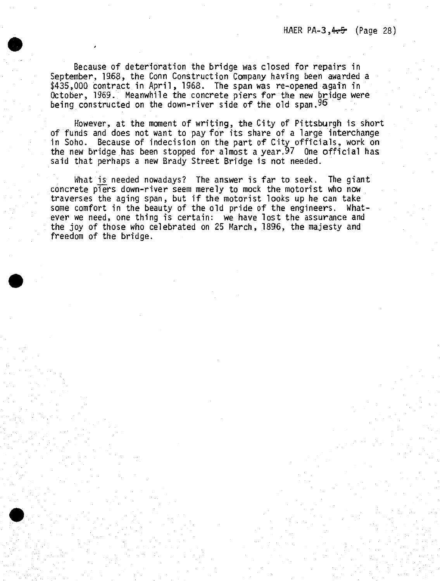Because of deterioration the bridge was closed for repairs in September, 1968, the Conn Construction Company having been awarded a \$435,000 contract in April, 1968. The span was re-opened again in October, 1969. Meanwhile the concrete piers for the new bridge were being constructed on the down-river side of the old span, 96

However, at the moment of writing, the City of Pittsburgh is short of funds and does not want to pay for its share of <sup>a</sup> large interchange in Soho. Because of indecision on the part of City officials, work on the new bridge has been stopped for almost a year. $97$  One official has said that perhaps <sup>a</sup> new Brady Street Bridge is not needed.

What is needed nowadays? The answer is far to seek. The giant concrete piers down-river seem merely to mock the motorist who now traverses the aging span, but if the motorist looks up he can take some comfort in the beauty of the old pride of the engineers. Whatever we need, one thing is certain: we have lost the assurance and the joy of those who celebrated on 25 March., 1896, the majesty and freedom of the bridge.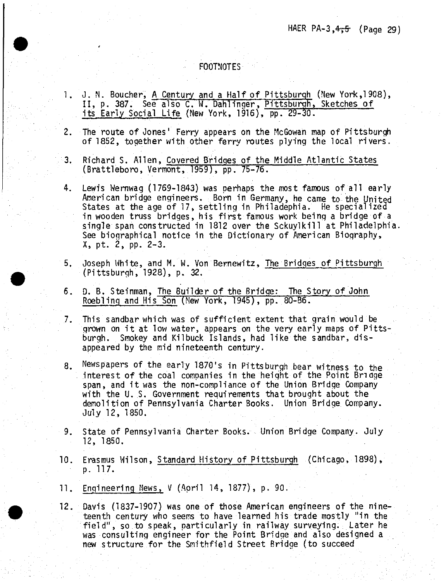## HAER PA-3, $4.5$  (Page 29)

## FOOTNOTES

1. J. N. Boucher, <sup>A</sup> Century and <sup>a</sup> Half of Pittsburgh (New York,1908), 11, p. 387. See also C. W. DahlinQer, Pittsburgh, Sketches of its Early Social Life (New York, 1916), pp. 29-30.

2. The route of Jones' Ferry appears on the McGowan map of Pittsburgh of 1852, together with other ferry routes plying the local rivers.

- 3. Richard S. Allen, Covered Bridges of the Middle Atlantic States (Brattleboro, Vermont, 1959), pp. 75-76.
- 4. Lewis Wernwag (1769-1843) was perhaps the most famous of all early American bridge engineers. Born in Germany, he came to the United States at the age of 17, settling in Philadephia. He specialized in wooden truss bridges, his first famous work being <sup>a</sup> bridge of <sup>a</sup> single span constructed in 1812 over the Sckuylkill at Philadelphia. See biographical notice in the Dictionary of American Biography, X, pt. 2, pp. 2-3.
- 5. Joseph White, and M. W. Von Bernewitz, The Bridges of Pittsburgh (Pittsburgh, 1928), p. 32.
- 6. D. B. Steinman, The Builder of the Bridge: The Story of John Roebling and His Son (New York, 1945), pp. 80-86.
- 7. This sandbar which was of sufficient extent that grain would be grown on it at low water, appears on the very early maps of Pittsburgh. Smokey and Kilbuck Islands, had like the sandbar, disappeared by the mid nineteenth century.
- 8. Newspapers of the early 1870's in Pittsburgh bear witness to the . interest of the coal companies in the height of the Point Bridge span, and it was the non-compliance of the Union Bridge Company with the U. S, Government requirements that brought about the demolition of Pennsylvania Charter Books. Union Bridge Company. July 12, 1850.
- 9. State of Pennsylvania Charter Books. Union Bridge Company. July 12, 1850.
- 10. Erasmus Wilson, Standard History of Pittsburgh (Chicago, 1898), p. 117.
- 11. Engineering News, <sup>V</sup> (April 14, 1877), p. 90.

12. Davis (1837-1907) was one of those American engineers of the nineteenth century who seems to have learned his trade mostly "in the field", so to speak, particularly in railway surveying. Later he was consulting engineer for the Point Bridge and also designed <sup>a</sup> new structure for the Smithfield Street Bridge (to succeed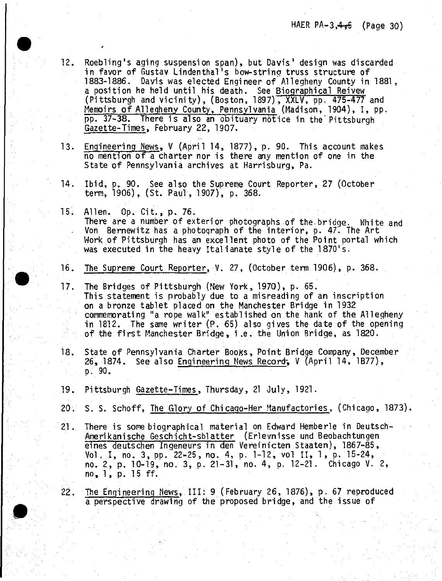- 12. Roebling's aging suspension span), but Davis' design was discarded in favor of Gustav Lindenthal's bow-string truss structure of 1883-1886. Davis was elected Engineer of Allegheny County in 1881, <sup>a</sup> position he held until his death. See Biographical Reivew (Pittsburgh and vicinity), (Boston, 1897), XXLV, pp. 475-477 and Memoirs of Allegheny County, Pennsylvania (Madison, 1904), I, pp. pp. 37-38. There is also an ooituary notice in the'Pittsburgh Gazette-Times, February 22, 1907.
- 13. Engineering News, <sup>V</sup> (April 14, 1877), p. 90. This account makes no mention of <sup>a</sup> charter nor is there any mention of one in the State of Pennsylvania archives at Harrisburg, Pa.
- 14. Ibid, p. 90. See also the Supreme Court Reporter, 27 (October term, 1906), (St. Paul, 1907), p. 368.
- 15. Allen. Op. Cit., p. 76. There are <sup>a</sup> number of exterior photographs of the.bridge. White and Von Bernewitz has <sup>a</sup> photograph of the interior, p. 47. The Art Work of Pittsburgh has an excellent photo of the Point portal which was executed in the heavy Italianate style of the 1870's.
- 16. The Supreme Court Reporter, V. 27, (October term 1906), p. 368.
- 17. The Bridges of Pittsburgh (New York, 1970), p. 65. This statement is probably due to <sup>a</sup> misreading of an inscription on <sup>a</sup> bronze tablet placed on the Manchester Bridge in 1932 commemorating "a rope walk" established on the bank of the Allegheny in 1812. The same writer (P. 65) also gives the date of the opening of the first Manchester Bridge, i.e. the Union Bridge, as 1820.
- 18. State of Pennsylvania Charter Books, Point Bridge Company, December 26, 1874. See also Engineering News Record^ <sup>V</sup> (April 14, 1877), p. 90.
- 19. Pittsburgh Gazette^Times, Thursday, <sup>21</sup> July, 1921.

**^p**

- 20. S. S. Schoff, The Glory of Chicaqo-Her Manufactories, (Chicago, 1873)
- 21. There is some biographical material on Edward Hemberle in Deutsch-Amerikanische Geschicht-sblatter (Erlevnisse und Beobachtungen eines deutschen Ingeneurs in den Vereinicten Staaten), 1867-85, Vol. I, no. 3, pp. 22-25, no, 4, p. 1-12, vol II, <sup>1</sup> , p. 15-24, no, 2, p. 10-19, no. 3, p. 21-31, no. 4, p. 12-21. Chicago V. 2, no, 1, p. <sup>15</sup> ff.
- 22. The Engineering News, III: <sup>9</sup> (February 26, 1876), p. <sup>67</sup> reproduced <sup>a</sup> perspective drawing of the proposed bridge, and the issue of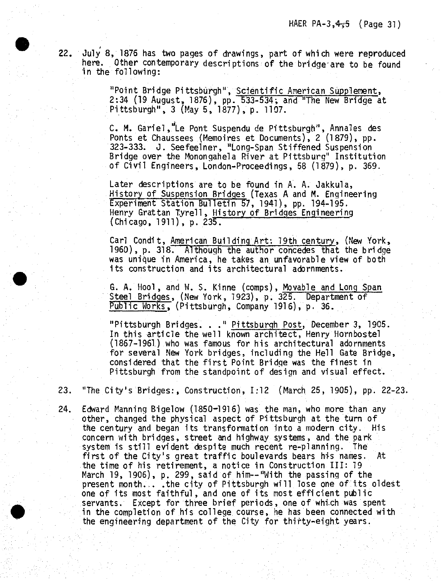22. July 8, <sup>1876</sup> has two pages of drawings, part of which were reproduced here. Other contemporary descriptions of the bridge are to be found in the following:

> "Point Bridge Pittsburgh", Scientific American Supplement, 2:34 (19 August, 1876), pp. 533-534; and "The New Bridge at Pittsburgh", <sup>3</sup> (May 5, 1877), p. 1107.

> C, M. Gariel,"Le Pont Suspendu de Pittsburgh", Annales des Ponts et Chaussees (Memoires et Documents), 2 (1879), pp. 323-333. J. Seefeelner, "Long-Span Stiffened Suspension Bridge over the Monongahela River at Pittsburg" Institution of Civil Engineers, London-Proceedings, <sup>58</sup> (1879), p. 369.

Later descriptions are to be found in A. A. Oakkula, History of Suspension Bridges (Texas A and M. Engineering Experiment Station Bulletin 57, 1941), pp. 194-195. Henry Grattan Tyrell, History of Bridges Engineering  $(Chicago, 1911), p. 235.$ 

Carl Condit, American Building Art: 19th century, (New York, 1960), p. 318. Although the author concedes that the bridge was unique in America, he takes an unfavorable view of both its construction and its architectural adornments.

G. A. Hool, and W. S. Kinne (comps), Movable and Long Span Steel Bridges, (New York, 1923), p. 325. Department of Public Works, (Pittsburgh, Company 1916), p. 36.

"Pittsburgh Bridges. . ." Pittsburgh Post, December 3, 1905. In this article the well known architect, Henry Hornbostel (1867-1961) who was famous for his architectural adornments for several New York bridges, including the Hell Gate Bridge, considered that the first Point Bridge was the finest in Pittsburgh from the standpoint of design and visual effect.

23. "The City's Bridges:, Construction, 1:12 (March 25, 1905), pp. 22-23.

24. Edward Manning Bigelow (1850-1916) was the man, who more than any other, changed the physical aspect of Pittsburgh at the turn of the century and began its transformation into a modern city. His concern with bridges, street and highway systems, and the park system is still evident despite much recent re-planning. The first of the City's great traffic boulevards bears his names. At the time of his retirement, <sup>a</sup> notice in Construction III: <sup>19</sup> March 19, 1906), p. 299, said of him—"With the passing of the present month... .the city of Pittsburgh will lose one of its oldest one of its most faithful, and one of its most efficient public servants. Except for three brief periods, one of which was spent in the completion of his college course, he has been connected with the engineering department of the City for thirty-eight years.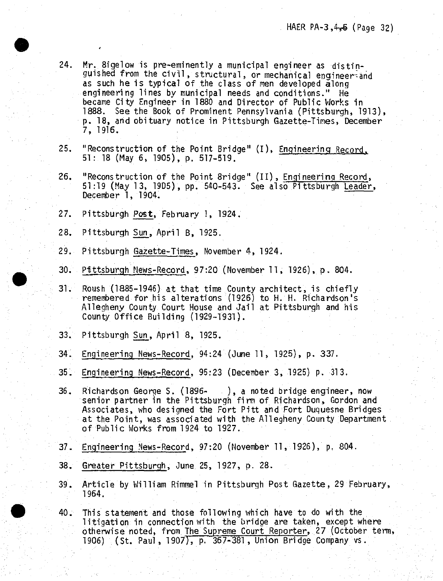- 24. Mr. Bigelow is pre-eminently <sup>a</sup> municipal engineer as distinguished from the civil, structural, or mechanical engineer-and as such he is typical of the class of men developed along engineering lines by municipal needs and conditions." He became City Engineer in 1880 and Director of Public Works in 1888, See the Book of Prominent Pennsylvania (Pittsburgh, 1913), p. 18, and obituary notice in Pittsburgh Gazette-Times, December 7, 1916.
- 25. "Reconstruction of the Point Bridge" (I), Engineering Record. 51: <sup>18</sup> (May 6, 1905), p. 517-519/
- 26. "Reconstruction of the Point Bridge" (II), Engineering Record, 51:19 (May 13, 1905), pp. 540-543. See also Pittsburgh Leader, December 1, 1904.
- 27. Pittsburgh Post, February 1, 1924.
- 28. Pittsburgh Sun, April 8, 1925.
- 29. Pittsburgh Gazette-Times, November 4, 1924.
- 30. Pittsburgh News-Record, 97:20 (November 11, 1926), p. 804.
- 31. Roush (1885-1946) at that time County architect, is chiefly remembered for his alterations (1926) to H. H. Richardson's Allegheny County Court House and Jail at Pittsburgh and his County Office Building (1929-1931).
- 33. Pittsburgh Sun, April 8, 1925.
- 34. Engineering News-Record, 94:24 (June 11, 1925), p. 337.
- 35. Engineering News-Record, 95:23 (December 3, 1925) p. 313.
- 36. Richardson George S. (1896- ), <sup>a</sup> noted bridge engineer, now senior partner in the Pittsburgh firm of Richardson, Gordon and Associates, who designed the Fort Pitt and Fort Duquesne Bridges at the Point, was associated with the Allegheny County Department of Public Works from <sup>1924</sup> to 1927.
- 37. Engineering News-Record, 97:20 (November 11, 1926), p. 804.
- 38. Greater Pittsburgh, June 25, 1927, p. 28.
- 39. Article by William Rimmel in Pittsburgh Post Gazette, <sup>29</sup> February, 1964.
- 40. This statement and those following which have to do with the litigation in connection with the bridge are taken, except where otherwise noted, from The Supreme Court Reporter, 27 (October term, 1906) (St. Paul, 1907), p. 367-381 , Union Bridge Company vs.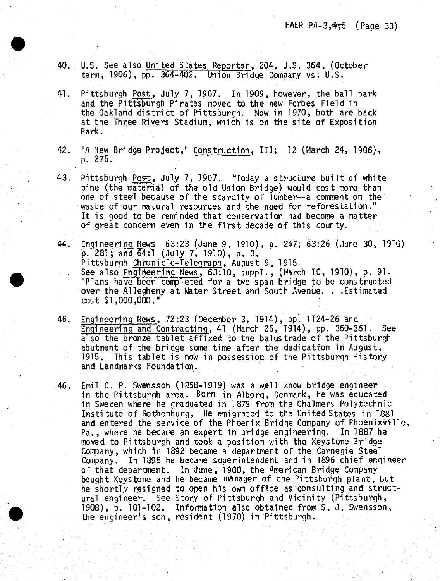40. U.S. See also United States Reporter, 204, U.S. 364, (October term, 1906), pp. 364-402. Union Bridge Company vs. U.S.

**•**

- 41. Pittsburgh Post, July 7, 1907. In 1909, however, the ball park and the Pittsburgh Pirates moved to the new Forbes Field in the Oakland district of Pittsburgh. Now in 1970, both are back at the Three Rivers Stadium, which is on the site of Exposition Park.
- 42. "A New Bridge Project," Construction, III; <sup>12</sup> (March 24, 1906), p. 275.
- 43. Pittsburgh Post, July 7, 1907. "Today a structure built of white pine (the material of the old Union Bridge) would cost more than one of steel because of the scarcity of lumber—a comment on the waste of our natural resources and the need for reforestation." It is good to be reminded that conservation had become <sup>a</sup> matter of great concern even in the first decade of this county.
- 44 - Engineering Mews 63:23 (June 9, 1910), p. 247; 63:26 (June 30, 1910) p, 281; and 64:1 (July 7, 1910), p. 3. Pittsburgh Chronicle-Telenraph, August 9, 1915. See also Engineering News,  $63:10$ , suppl., (March 10, 1910), p. 91. "Plans have been completed for <sup>a</sup> two span bridge to be constructed over the Allegheny at Water Street and South Avenue. . .Estimated cost \$1,000,000."
- 45. Engineering News, 72:23 (December 3, 1914), pp. 1124-26 and Engineering and Contracting, <sup>41</sup> (March 25, 1914), pp. 360-361. See also the bronze tablet affixed to the balustrade of the Pittsburgh abutment of the bridge some time after the dedication in August, 1915. This tablet is now in possession of the Pittsburgh History and Landmarks Foundation.
- 46. Emil C. P. Swensson (1858-1919) was <sup>a</sup> well know bridge engineer in the Pittsburgh area. Born in Alborg, Denmark, he was educated in Sweden where he graduated in 1879 from the Chalmers Polytechnic Institute of Gothenburg, He emigrated to the United States in <sup>1881</sup> and entered the service of the Phoenix Bridge Company of Phoenixville,<br>Pa., where he became an expert in bridge engineering. In 1887 he Pa,, where he became an expert in bridge engineering. moved to Pittsburgh and took a position with the Keystone Bridge Company, which in 1892 became <sup>a</sup> department of the Carnegie Steel Company. In 1895 he became superintendent and in 1896 chief engineer of that department. In June, 1900, the American Bridge Company bought Keystone and he became manager of the Pittsburgh plant, but he shortly resigned to open his own office as consulting and structural engineer. See Story of Pittsburgh and Vicinity (Pittsburgh, 1908), p. 101-102. Information also obtained from S. J. Swensson, the engineer's son, resident (1970) in Pittsburgh.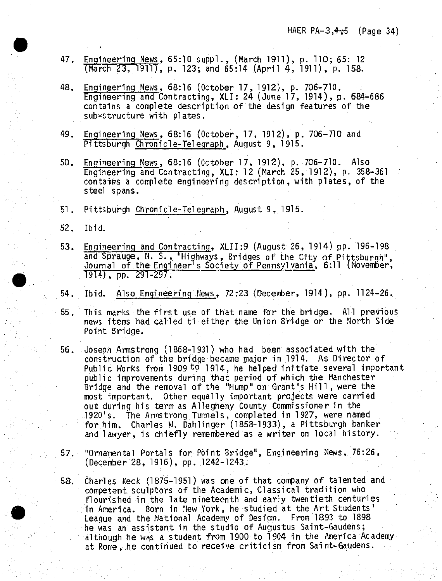- 47. Engineering News, 65:10 suppl., (March 1911), p. 110; 65: <sup>12</sup> (March 23, 1911), p. 123; and 65:14 (April 4, 1911), p. 158.
- 48. Engineering News, 68:16 (October 17, 1912), p. 706-710. Engineering and Contracting, XLI: 24 (June 17, 1914), p. 684-686 contains <sup>a</sup> complete description of the design features of the sub-structure with plates.
- 49. Engineering News, 68:16 (October, 17, 1912), p. 706-710 and Pittsburgh Chronicle-Telegraph, August 9, 1915.
- 50. Engineering News, 68:16 (October 17, 1912), p. 706-710. Also Engineering and Contracting, XLI: 12 (March 25, 1912), p. 358-361 contains <sup>a</sup> complete engineering description, with plates, of the steel spans.
- <sup>51</sup> . Pittsburgh Chronicle-Telegraph, August 9, 1915.
- 52. Ibid.
- 53. Engineering and Contracting, XLII:9 (August 26, 1914) pp. 196-198 and Sprauge, N. S., "Highways, Bridges of the City of Pittsburgh", Journal of the Engineer's Society of Pennsylvania, 6:11 (November, 1914), pp. 291-297.
- 54. Ibid. Also Engineering"News, 72:23 (December, 1914), pp. 1124-26.
- 55. This marks the first use of that name for the bridge. All previous news items had called ti either the Union Bridge or the North Side Point Bridge.
- 56. Joseph Armstrong (1868-1931) who had been associated with the construction of the bridge became major in 1914. As Director of Public Works from 1909 to 1914, he helped initiate several important public improvements during that period of which the Manchester Bridge and the removal of the "Hump" on Grant's Hill, were the most important. Other equally important projects were carried out during his term as Allegheny County Commissioner in the 1920's. The Armstrong Tunnels, completed in 1927, were named for him. Charles W. Dahlinger (1858-1933), <sup>a</sup> Pittsburgh banker and lawyer, is chiefly remembered as a writer on local history.
- 57. "Ornamental Portals for Point Bridge", Engineering News, 76:26, (December 28, 1916), pp. 1242-1243.
- 58. Charles Keck (1875-1951) was one of that company of talented and competent sculptors of the Academic, Classical tradition who flourished in the late nineteenth and early twentieth centuries in America. Born in New York, he studied at the Art Students' League and the National Academy of Design.. From 1893 to 1898 he was an assistant in the studio of Augustus Saint-Gaudens; although he was a student from 1900 to 1904 in the America Academy at Rome, he continued to receive criticism from Saint-Gaudens.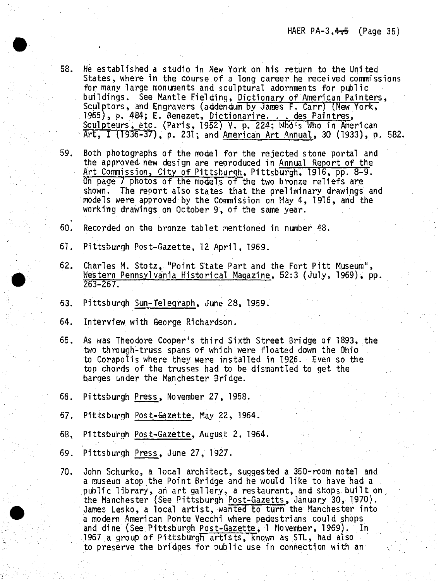- 58. He established a studio in New York on his return to the United States, where in the course.of <sup>a</sup> long career he received commissions for many large monuments and sculptural adornments for public buildings. See Mantle Fielding, Dictionary of American Painters, Sculptors, and Engravers (addendum by James F. Carr) (New York, 1965), p. 484; E. Benezet, Dictionarire. . . des Paintres, Sculpteurs, etc. (Paris, 1952) V. p. 224; Whd's Who in American Art, <sup>I</sup> (1936-37), p. 231; and American Art Annual, <sup>30</sup> (1933), p. 582,
- 59. Both photographs of the model for the rejected stone portal and the approved new design are reproduced in Annual Report of the Art Commission, City of Pittsburgh, Pittsburgh, 1916, pp. 8-9. On page <sup>7</sup> photos of the models of the two bronze reliefs are shown. The report also states that the preliminary drawings and models were approved by the Commission on May 4, 1916, and the working drawings on October 9, of the same year.
- 60. Recorded on the bronze tablet mentioned in number 48.
- 61. Pittsburgh Post-Gazette, <sup>12</sup> April, 1969.
- 62. Charles M. Stotz, "Point State Part and the Fort Pitt Museum", Western Pennsylvania Historical Magazine, 52:3 (July, 1969), pp. 263-267.
- 63. Pittsburgh Sun-Telegraph, June 28, 1959.
- 64. Interview with George Richardson.

**•**

- 65. As was Theodore Cooper's third Sixth Street Bridge of 1893, the two through-truss spans of which were floated down the Ohio to Corapolis where they were installed in 1926. Even so the top chords of the trusses had to be dismantled to get the barges under the Manchester Bridge.
- 66. Pittsburgh Press, November 27, 1958.
- 67. Pittsburgh Post-Gazette, May 22, 1964.
- 68. Pittsburgh Post-Gazette, August 2, 1964.
- 69. Pittsburgh Press, June 27, 1927.
- 70. John Schurko, <sup>a</sup> local architect, suggested <sup>a</sup> 350-room motel and <sup>a</sup> museum, atop the Point Bridge and he would like to have had <sup>a</sup> public library, an art gallery, <sup>a</sup> restaurant, and shops built on the Manchester (See Pittsburgh Post-Gazetts, January 30, 1970). James Lesko, <sup>a</sup> local artist, wanted to turn the Manchester into <sup>a</sup> modern American Ponte Vecchi where pedestrians could shops and dine (See Pittsburgh Post-Gazette, <sup>1</sup> November, 1969). In 1967 a group of Pittsburgh artists, known as STL, had also to preserve the bridges for public use in connection with an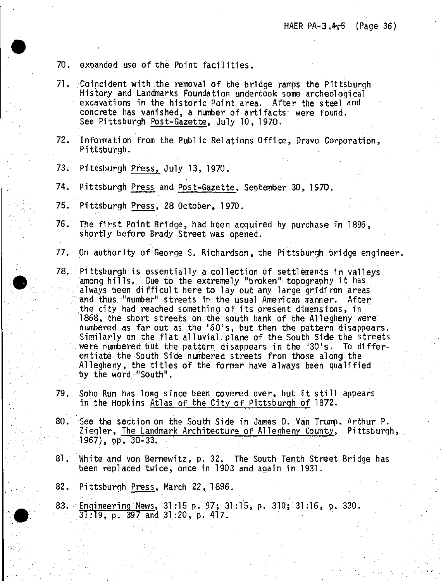70. expanded use of the Point facilities.

- 71. Coincident with the removal of the bridge ramps the Pittsburgh History and Landmarks Foundation undertook some archeological excavations in the historic Point area. After the steel and concrete has vanished, <sup>a</sup> number of artifacts' were found. See Pittsburgh Post-Gazette, July 10, 1970.
- 72. Information from the Public Relations Office, Dravo Corporation, Pittsburgh.
- 73. Pittsburgh Press, July 13, 1970.
- 74. Pittsburgh Press and Post-Gazette, September 30, 1970.
- 75. Pittsburgh Press, <sup>28</sup> October, 1970.
- 76. The first Point Bridge, had been acquired by purchase in 1896, shortly before Brady Street was opened.
- 77. On authority of George S. Richardson, the Pittsburgh bridge engineer.
- 78. Pittsburgh is essentially <sup>a</sup> collection of settlements in valleys among hills. Due to the extremely "broken" topography it has always been difficult here to lay out any large gridiron areas and thus "number" streets in the usual American manner. After the city had reached something of its present dimensions, in 1868, the short streets on the south bank of the Allegheny were numbered as far out as the '60's, but then the pattern disappears. Similarly on the flat alluvial plane of the South Side the streets were numbered but the pattern disappears in the '30's. To differentiate the South Side numbered streets from those along the Allegheny, the titles of the former have always been qualified by the word "South".
- 79. Soho Run has long since been covered over, but it still appears in the Hopkins Atlas of the City of Pittsburgh of 1872.
- 80. See the section on the South Side in James D. Van Trump, Arthur P. Ziegler, The Landmark Architecture of Allegheny County, Pittsburgh, 1967), pp. 30-33.
- 81. White and von Bernewitz, p. 32. The South Tenth Street Bridge has been replaced twice, once in 1903 and again in 1931.
- 82. Pittsburgh Press, March 22, 1896.
- 83. Engineering News, 31:15 p. 97; 31:15, p. 310; 31:16, p, 330. 31:19, p. 397 and 31:20, p. 417.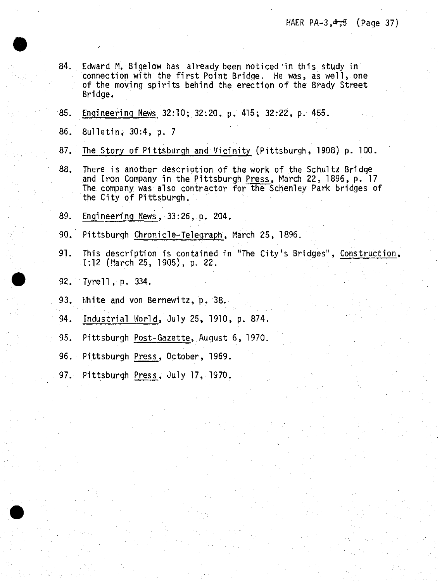- 84. Edward M, Bigelow has already been noticed 'in this study in connection with the first Point Bridge. He was, as well, one of the moving spirits behind the erection of the Brady Street Bridge.
- 85. Engineering News 32:10; 32:20. p. 415; 32:22, p. 455.
- 86. 8ulletin, 30:4, p. 7
- 87. The Story of Pittsburgh and Vicinity (Pittsburgh, 1908) p. 100.
- 88. There is another description of the work of the Schultz Bridge and Iron Company in the Pittsburgh Press, March 22, 1896, p. <sup>17</sup> The company was also contractor for the Schenley Park bridges of the City of Pittsburgh.
- 89. Engineering Mews, 33:26, p. 204.
- 90. Pittsburgh Chronicle-Telegraph, March 25, 1896.
- 91. This description is contained in "The City's Bridges", Construction, 1:12 (March 25, 1905), p. 22.
- 92. Tyrell, p. 334.
- 93. White and von Bernewitz, p. 38.
- 94 Industrial World, July 25, 1910, p. 874.
- 95. Pittsburgh Post-Gazette, August 6, 1970.
- 96. Pittsburgh Press, October, 1969.
- 97. Pittsburgh Press, July 17, 1970.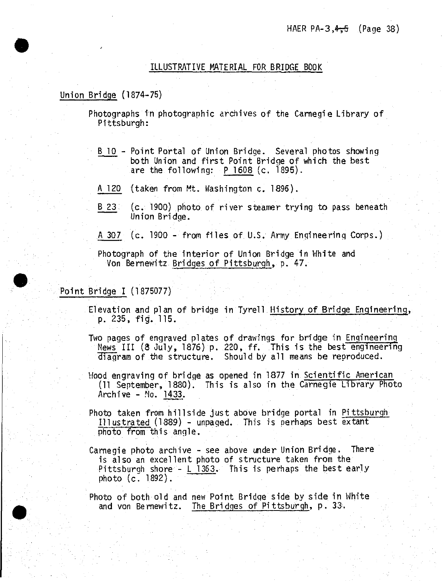## ILLUSTRATIVE MATERIAL FOR BRIDGE BOOK

## Union Bridge (1874-75)

**#**

Photographs in photographic archives of the Carnegie Library of Pittsburgh:

- B 10 Point Portal of Union Bridge. Several photos showing both Union and first Point Bridge of which the best are the following:  $P 1608$  (c. 1895).
- <sup>A</sup> 120 (taken from Mt. Washington c. 1896).
- B 23 (c. 1900) photo of river steamer trying to pass beneath Union Bridge.
- <sup>A</sup> <sup>307</sup> (c. <sup>1900</sup> from files of U.S. Army Engineering Corps.)

Photograph of the interior of Union Bridge in White and Von Bernewitz Bridges of Pittsburgh, p. 47.

# Point Bridge I (1875077)

- Elevation and plan of bridge in Tyrell History of Bridge Engineering, p. 235, fig". 115.
- Two pages of engraved plates of drawings for bridge in Engineering News III (8 July, 1876) p. 220, ff. This is the best engineering diagram of the structure. Should by all means be reproduced.
- Wood engraving of bridge as opened in <sup>1877</sup> in Scientific American (11 September, 1880). This is also in the Carnegie Library Photo Archive - No. 1433.
- Photo taken from hillside just above bridge portal in Pittsburgh Illustrated (1889) - unpaged. This is perhaps best extant photo from this angle.
- Carnegie photo archive see above under Union Bridge. There is also an excellent photo of structure taken from the Pittsburgh shore - L 1363. This is perhaps the best early photo (c^ 1892).

Photo of both old and new Point Bridge side by side in White and von Bernewitz. The Bridges of Pittsburgh, p. 33.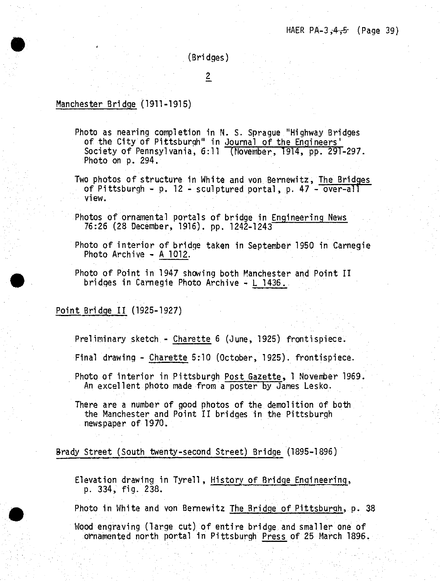(Bridges)

 $\overline{2}$ 

## Manchester Bridge (1911-1915)

**•**

- Photo as nearing completion in N. S. Sprague "Highway Bridges of the City of Pittsburgh" in Journal of the Engineers' Society of Pennsylvania, 6:11 (November, 1914, pp. 291-297. Photo on p. 294.
- Two photos of structure in White and von Bernewitz, The Bridges of Pittsburgh - p. <sup>12</sup> - sculptured portal, p. <sup>47</sup> - over-all view.
- Photos of ornamental portals of bridge in Engineering News 76:26 (28 December, 1916). pp. 1242-1243
- Photo of interior of bridge taken in September <sup>1950</sup> in Carnegie Photo Archive - <sup>A</sup> 1012.
- Photo of Point in <sup>1947</sup> showing both Manchester and Point II bridges in Carnegie Photo Archive - <sup>L</sup> 1436.,

# Point Bridge II (1925-1927)

Preliminary sketch - Charette <sup>6</sup> (June, 1925) frontispiece.

Final drawing - Charette 5:10 (October, 1925). frontispiece.

Photo of interior in Pittsburgh Post Gazette, <sup>1</sup> November 1969. An excellent photo made from <sup>a</sup> poster by Janes Lesko.

There are <sup>a</sup> number of good photos of the demolition of both the Manchester and Point II bridges in the Pittsburgh newspaper of 1970.

## Brady Street (South twenty-second Street) Bridge (1895-1896)

Elevation drawina in Tyre11, History of Bridge Engineering, p. 334, fig. 238.

Photo in White and von Bernewitz The Bridge of Pittsburgh, p. 38 Wood engraving (large cut) of entire bridge and smaller one of ornamented north portal in Pittsburgh Press of 25 March 1896.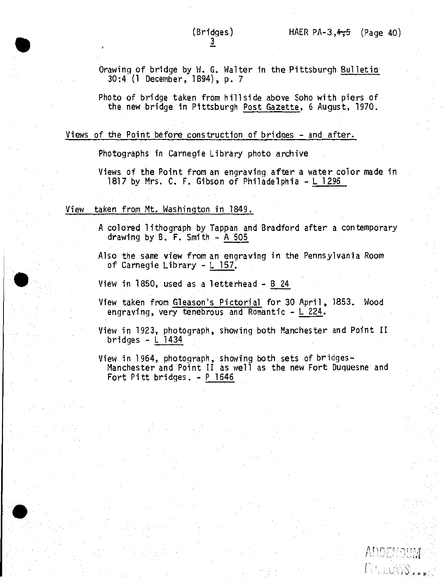**<sup>A</sup>** *t~\ r\* **\*\* \*\*** *r\*.i* **\*s**

FOLLOSS.

Orawing of bridge by W. G. Walter in the Pittsburgh Bulletin 30:4 {1 December, 1894), p. 7

Photo of bridge taken from hillside above Soho with piers of the new bridge in Pittsburgh Post Gazette, <sup>6</sup> August, 1970.

## Views of the Point before construction of bridges *-* and after.

Photographs in Carnegie Library photo archive

Views of the Point from an engraving after <sup>a</sup> water color made in 1817 by Mrs. C. F. Gibson of Philadelphia - L 1296

### View taken from Mt. Washington in 1849.

**•**

<sup>A</sup> colored lithograph by Tappan and Bradford after <sup>a</sup> contemporary drawing by  $B$ . F. Smith  $-$  A 505

Also the same view from an engraving in the Pennsylvania Room of Carnegie Library - <sup>L</sup> 157.

View in 1850, used as <sup>a</sup> letterhead - <sup>B</sup> <sup>24</sup>

View taken from Gleason's Pictorial for 30 April, 1853. Wood engraving, very tenebrous and Romantic - <sup>L</sup> 224.

View in 1923, photograph, showing both Manchester and Point II bridges - <sup>L</sup> 1434

View in 1964, photograph, showing both sets of bridges-Manchester and Point II as well as the new Fort Duquesne and Fort Pitt bridges. - <sup>P</sup> <sup>1646</sup>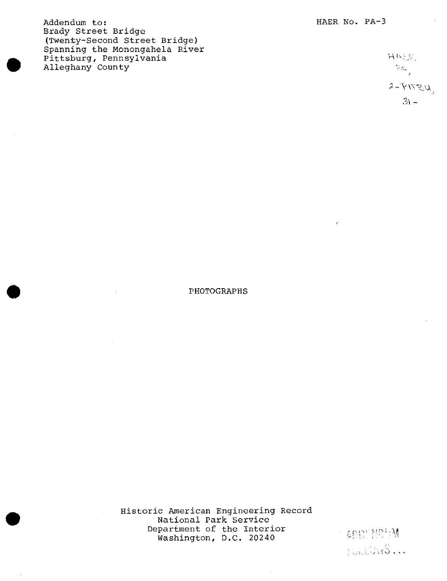Addendum to: Brady Street Bridge (Twenty-Second Street Bridge) Spanning the Monongahela River Pittsburg, Pennsylvania Alleghany County

 $H$  P $\geq$  $\mathbb{P}_{\mathsf{A}_{\mathsf{A},\mathsf{A}}^{\mathsf{A}}}$  $2 - \hat{Y} T T \mathcal{L} U,$  $3\cdot$ 

## PHOTOGRAPHS

Historic American Engineering Record National Park Service Department of the Interior Washington, D.C. 20240

**•**

ADSMS M FOLLOWS ...